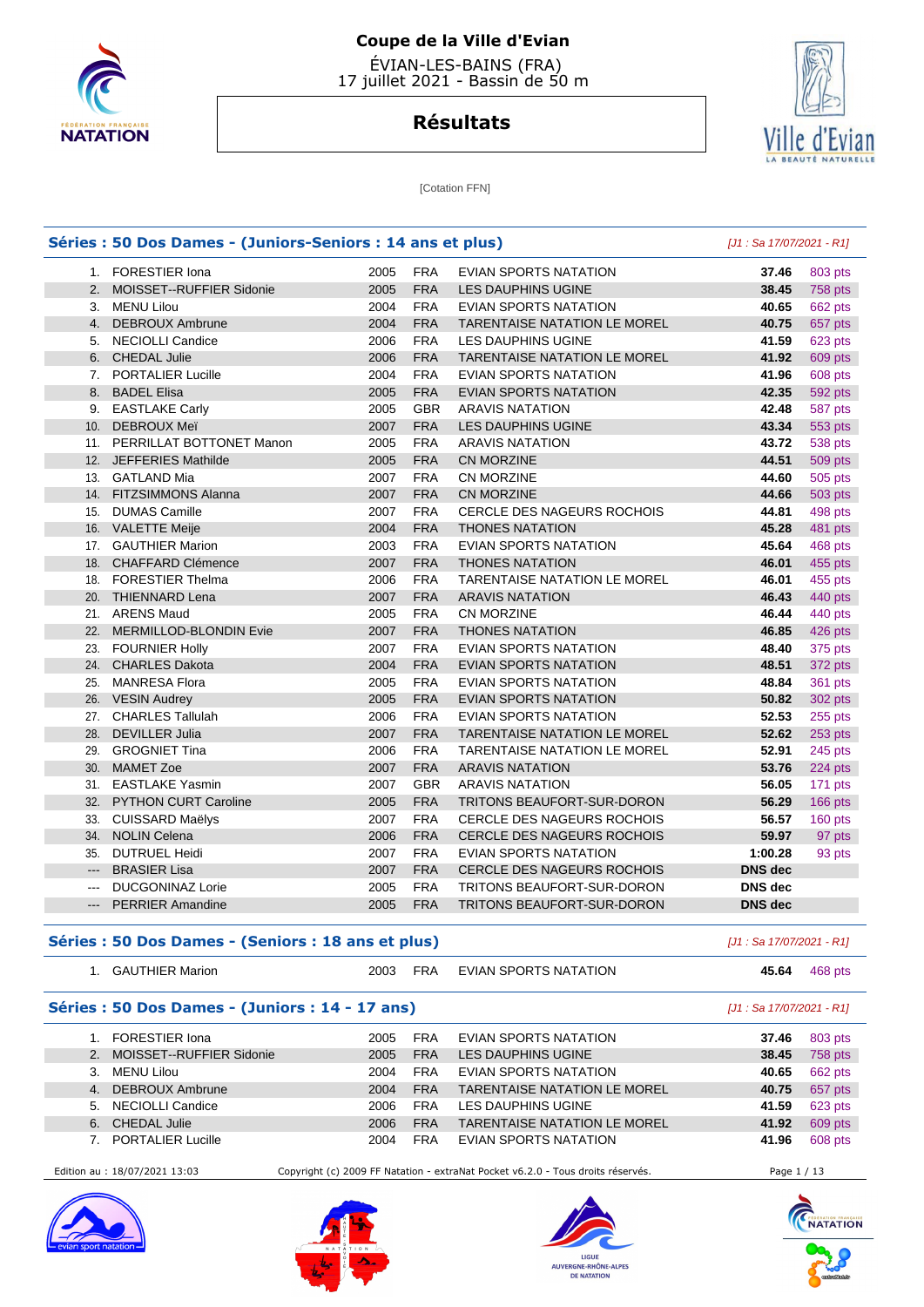



**Résultats**

**[Cotation FFN]** 

#### **Séries : 50 Dos Dames - (Juniors-Seniors : 14 ans et plus)** [J1 : Sa 17/07/2021 - R1] 1. FORESTIER Iona 2005 FRA EVIAN SPORTS NATATION **37.46** 803 pts 2. MOISSET--RUFFIER Sidonie 2005 FRA LES DAUPHINS UGINE **38.45** 758 pts 3. MENU Lilou 2004 FRA EVIAN SPORTS NATATION **40.65** 662 pts 4. DEBROUX Ambrune 2004 FRA TARENTAISE NATATION LE MOREL **40.75** 657 pts 5. NECIOLLI Candice 2006 FRA LES DAUPHINS UGINE **41.59** 623 pts 6. CHEDAL Julie 2006 FRA TARENTAISE NATATION LE MOREL **41.92** 609 pts 7. PORTALIER Lucille 2004 FRA EVIAN SPORTS NATATION **41.96** 608 pts 8. BADEL Elisa 2005 FRA EVIAN SPORTS NATATION **42.35** 592 pts 9. EASTLAKE Carly 2005 GBR ARAVIS NATATION **42.48** 587 pts 10. DEBROUX Meï 2007 FRA LES DAUPHINS UGINE **43.34** 553 pts 11. PERRILLAT BOTTONET Manon 2005 FRA ARAVIS NATATION **43.72** 538 pts 12. JEFFERIES Mathilde 2005 FRA CN MORZINE **44.51** 509 pts 13. GATLAND Mia 2007 FRA CN MORZINE **44.60** 505 pts 14. FITZSIMMONS Alanna 2007 FRA CN MORZINE **44.66** 503 pts 15. DUMAS Camille 2007 FRA CERCLE DES NAGEURS ROCHOIS **44.81** 498 pts 16. VALETTE Meije 2004 FRA THONES NATATION **45.28** 481 pts 17. GAUTHIER Marion 2003 FRA EVIAN SPORTS NATATION **45.64** 468 pts 18. CHAFFARD Clémence 2007 FRA THONES NATATION **46.01** 455 pts 18. FORESTIER Thelma 2006 FRA TARENTAISE NATATION LE MOREL **46.01** 455 pts 20. THIENNARD Lena 2007 FRA ARAVIS NATATION **46.43** 440 pts 21. ARENS Maud 2005 FRA CN MORZINE **46.44** 440 pts 22. MERMILLOD-BLONDIN Evie 2007 FRA THONES NATATION **46.85** 426 pts 23. FOURNIER Holly 2007 FRA EVIAN SPORTS NATATION **48.40** 375 pts 24. CHARLES Dakota 2004 FRA EVIAN SPORTS NATATION **48.51** 372 pts 25. MANRESA Flora 2005 FRA EVIAN SPORTS NATATION **48.84** 361 pts 26. VESIN Audrey 2005 FRA EVIAN SPORTS NATATION **50.82** 302 pts 27. CHARLES Tallulah 2006 FRA EVIAN SPORTS NATATION **52.53** 255 pts 28. DEVILLER Julia 2007 FRA TARENTAISE NATATION LE MOREL **52.62** 253 pts 29. GROGNIET Tina 2006 FRA TARENTAISE NATATION LE MOREL **52.91** 245 pts 30. MAMET Zoe 2007 FRA ARAVIS NATATION **53.76** 224 pts 31. EASTLAKE Yasmin 2007 GBR ARAVIS NATATION **56.05** 171 pts 32. PYTHON CURT Caroline 2005 FRA TRITONS BEAUFORT-SUR-DORON **56.29** 166 pts 33. CUISSARD Maëlys 2007 FRA CERCLE DES NAGEURS ROCHOIS **56.57** 160 pts 34. NOLIN Celena 2006 FRA CERCLE DES NAGEURS ROCHOIS **59.97** 97 pts 35. DUTRUEL Heidi 2007 FRA EVIAN SPORTS NATATION **1:00.28** 93 pts --- BRASIER Lisa 2007 FRA CERCLE DES NAGEURS ROCHOIS **DNS dec**  --- DUCGONINAZ Lorie 2005 FRA TRITONS BEAUFORT-SUR-DORON **DNS dec**  --- PERRIER Amandine 2005 FRA TRITONS BEAUFORT-SUR-DORON **DNS dec**

#### **Séries : 50 Dos Dames - (Seniors : 18 ans et plus)** [J1 : Sa 17/07/2021 - R1]

| <b>FRA</b><br>EVIAN SPORTS NATATION<br><b>GAUTHIER Marion</b><br>2003<br>45.64<br>468 pts | . . | ____ | $-$ | ____ |  |  |  |
|-------------------------------------------------------------------------------------------|-----|------|-----|------|--|--|--|
|                                                                                           |     |      |     |      |  |  |  |

#### **Séries : 50 Dos Dames - (Juniors : 14 - 17 ans)** [J1 : Sa 17/07/2021 - R1]

|    | FORESTIER Iona           | 2005 | <b>FRA</b> | EVIAN SPORTS NATATION               | 37.46 | 803 pts |
|----|--------------------------|------|------------|-------------------------------------|-------|---------|
| 2. | MOISSET--RUFFIER Sidonie | 2005 | <b>FRA</b> | LES DAUPHINS UGINE                  | 38.45 | 758 pts |
|    | MENU Lilou               | 2004 | <b>FRA</b> | EVIAN SPORTS NATATION               | 40.65 | 662 pts |
|    | 4. DEBROUX Ambrune       | 2004 | <b>FRA</b> | <b>TARENTAISE NATATION LE MOREL</b> | 40.75 | 657 pts |
| 5. | NECIOLLI Candice         | 2006 | <b>FRA</b> | LES DAUPHINS UGINE                  | 41.59 | 623 pts |
| 6. | <b>CHEDAL Julie</b>      | 2006 | <b>FRA</b> | <b>TARENTAISE NATATION LE MOREL</b> | 41.92 | 609 pts |
|    | <b>PORTALIER Lucille</b> | 2004 | <b>FRA</b> | <b>EVIAN SPORTS NATATION</b>        | 41.96 | 608 pts |

Edition au : 18/07/2021 13:03 Copyright (c) 2009 FF Natation - extraNat Pocket v6.2.0 - Tous droits réservés. Page 1 / 13









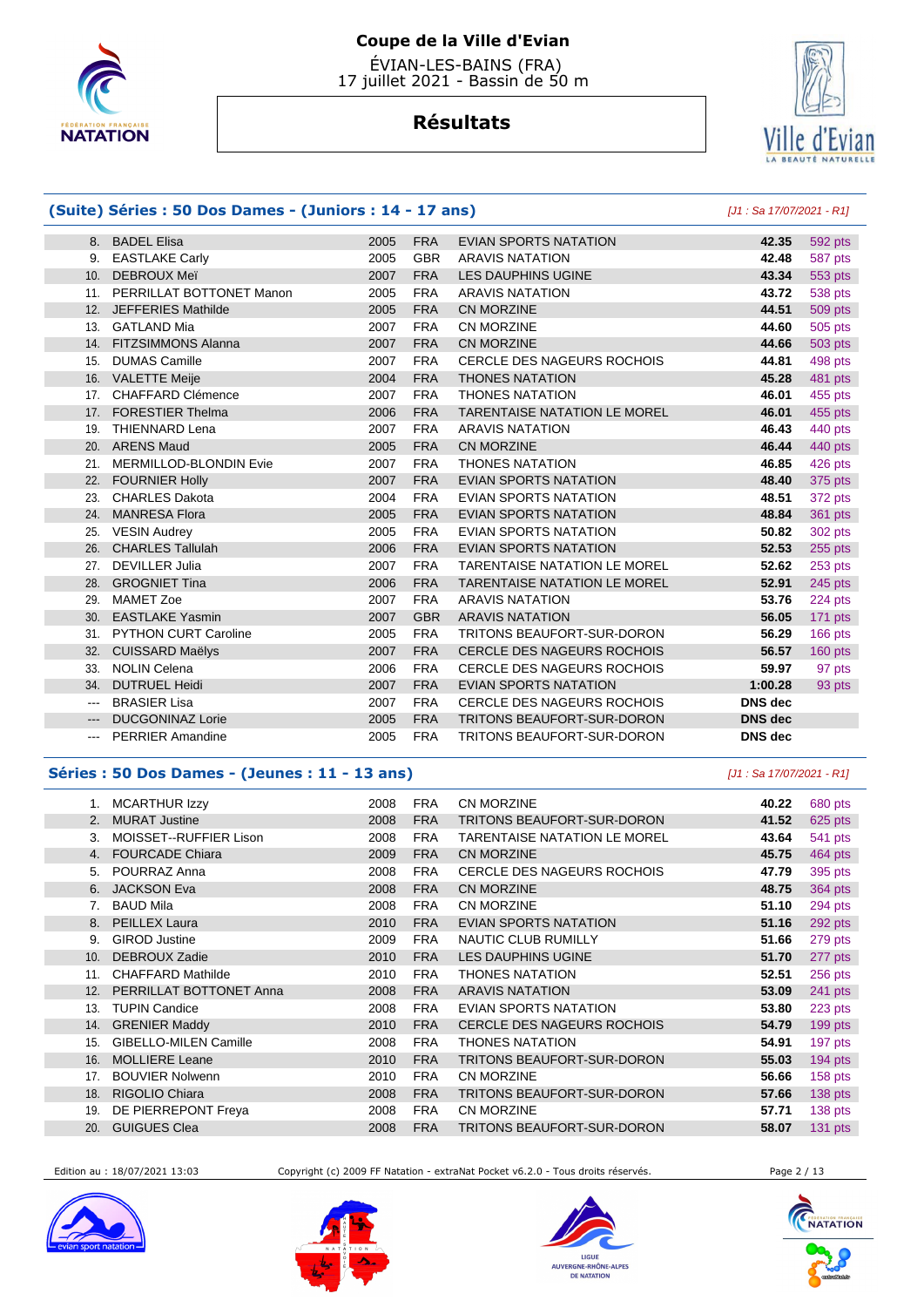

# **Résultats**



#### **(Suite) Séries : 50 Dos Dames - (Juniors : 14 - 17 ans)** [J1 : Sa 17/07/2021 - R1] 8. BADEL Elisa 2005 FRA EVIAN SPORTS NATATION **42.35** 592 pts 9. EASTLAKE Carly 2005 GBR ARAVIS NATATION **42.48** 587 pts 10. DEBROUX Meï 2007 FRA LES DAUPHINS UGINE **43.34** 553 pts 11. PERRILLAT BOTTONET Manon 2005 FRA ARAVIS NATATION **43.72** 538 pts 12. JEFFERIES Mathilde 2005 FRA CN MORZINE **44.51** 509 pts 13. GATLAND Mia 2007 FRA CN MORZINE **44.60** 505 pts 14. FITZSIMMONS Alanna 2007 FRA CN MORZINE **44.66** 503 pts 15. DUMAS Camille 2007 FRA CERCLE DES NAGEURS ROCHOIS **44.81** 498 pts 16. VALETTE Meije 2004 FRA THONES NATATION **45.28** 481 pts 17. CHAFFARD Clémence 2007 FRA THONES NATATION **46.01** 455 pts 17. FORESTIER Thelma 2006 FRA TARENTAISE NATATION LE MOREL **46.01** 455 pts 19. THIENNARD Lena 2007 FRA ARAVIS NATATION **46.43** 440 pts 20. ARENS Maud 2005 FRA CN MORZINE **46.44** 440 pts 21. MERMILLOD-BLONDIN Evie 2007 FRA THONES NATATION **46.85** 426 pts 22. FOURNIER Holly 2007 FRA EVIAN SPORTS NATATION **48.40** 375 pts 23. CHARLES Dakota 2004 FRA EVIAN SPORTS NATATION **48.51** 372 pts 24. MANRESA Flora 2005 FRA EVIAN SPORTS NATATION **48.84** 361 pts 25. VESIN Audrey 2005 FRA EVIAN SPORTS NATATION **50.82** 302 pts 26. CHARLES Tallulah 2006 FRA EVIAN SPORTS NATATION **52.53** 255 pts 27. DEVILLER Julia 2007 FRA TARENTAISE NATATION LE MOREL **52.62** 253 pts 28. GROGNIET Tina 2006 FRA TARENTAISE NATATION LE MOREL **52.91** 245 pts 29. MAMET Zoe 2007 FRA ARAVIS NATATION **53.76** 224 pts 30. EASTLAKE Yasmin 2007 GBR ARAVIS NATATION **56.05** 171 pts 31. PYTHON CURT Caroline 2005 FRA TRITONS BEAUFORT-SUR-DORON **56.29** 166 pts 32. CUISSARD Maëlys 2007 FRA CERCLE DES NAGEURS ROCHOIS **56.57** 160 pts 33. NOLIN Celena 2006 FRA CERCLE DES NAGEURS ROCHOIS **59.97** 97 pts 34. DUTRUEL Heidi 2007 FRA EVIAN SPORTS NATATION **1:00.28** 93 pts --- BRASIER Lisa 2007 FRA CERCLE DES NAGEURS ROCHOIS **DNS dec**  --- DUCGONINAZ Lorie 2005 FRA TRITONS BEAUFORT-SUR-DORON **DNS dec**  --- PERRIER Amandine 2005 FRA TRITONS BEAUFORT-SUR-DORON **DNS dec**

#### **Séries : 50 Dos Dames - (Jeunes : 11 - 13 ans)** [J1 : Sa 17/07/2021 - R1]

| 1.  | <b>MCARTHUR Izzy</b>         | 2008 | <b>FRA</b> | <b>CN MORZINE</b>                   | 40.22 | 680 pts   |
|-----|------------------------------|------|------------|-------------------------------------|-------|-----------|
| 2.  | <b>MURAT Justine</b>         | 2008 | <b>FRA</b> | TRITONS BEAUFORT-SUR-DORON          | 41.52 | 625 pts   |
| 3.  | MOISSET--RUFFIER Lison       | 2008 | <b>FRA</b> | <b>TARENTAISE NATATION LE MOREL</b> | 43.64 | 541 pts   |
| 4.  | <b>FOURCADE Chiara</b>       | 2009 | <b>FRA</b> | CN MORZINE                          | 45.75 | 464 pts   |
| 5.  | POURRAZ Anna                 | 2008 | <b>FRA</b> | <b>CERCLE DES NAGEURS ROCHOIS</b>   | 47.79 | 395 pts   |
| 6.  | <b>JACKSON Eva</b>           | 2008 | <b>FRA</b> | <b>CN MORZINE</b>                   | 48.75 | 364 pts   |
| 7.  | <b>BAUD Mila</b>             | 2008 | <b>FRA</b> | <b>CN MORZINE</b>                   | 51.10 | 294 pts   |
|     | 8. PEILLEX Laura             | 2010 | <b>FRA</b> | <b>EVIAN SPORTS NATATION</b>        | 51.16 | 292 pts   |
| 9.  | <b>GIROD Justine</b>         | 2009 | <b>FRA</b> | NAUTIC CLUB RUMILLY                 | 51.66 | 279 pts   |
| 10. | DEBROUX Zadie                | 2010 | <b>FRA</b> | LES DAUPHINS UGINE                  | 51.70 | 277 pts   |
| 11. | <b>CHAFFARD Mathilde</b>     | 2010 | <b>FRA</b> | <b>THONES NATATION</b>              | 52.51 | 256 pts   |
| 12. | PERRILLAT BOTTONET Anna      | 2008 | <b>FRA</b> | <b>ARAVIS NATATION</b>              | 53.09 | 241 pts   |
| 13. | <b>TUPIN Candice</b>         | 2008 | <b>FRA</b> | EVIAN SPORTS NATATION               | 53.80 | 223 pts   |
| 14. | <b>GRENIER Maddy</b>         | 2010 | <b>FRA</b> | <b>CERCLE DES NAGEURS ROCHOIS</b>   | 54.79 | 199 pts   |
| 15. | <b>GIBELLO-MILEN Camille</b> | 2008 | <b>FRA</b> | <b>THONES NATATION</b>              | 54.91 | 197 pts   |
| 16. | <b>MOLLIERE Leane</b>        | 2010 | <b>FRA</b> | TRITONS BEAUFORT-SUR-DORON          | 55.03 | 194 pts   |
| 17. | <b>BOUVIER Nolwenn</b>       | 2010 | <b>FRA</b> | <b>CN MORZINE</b>                   | 56.66 | $158$ pts |
| 18. | RIGOLIO Chiara               | 2008 | <b>FRA</b> | TRITONS BEAUFORT-SUR-DORON          | 57.66 | 138 pts   |
| 19. | DE PIERREPONT Freya          | 2008 | <b>FRA</b> | <b>CN MORZINE</b>                   | 57.71 | 138 pts   |
| 20. | <b>GUIGUES Clea</b>          | 2008 | <b>FRA</b> | TRITONS BEAUFORT-SUR-DORON          | 58.07 | $131$ pts |

Edition au : 18/07/2021 13:03 Copyright (c) 2009 FF Natation - extraNat Pocket v6.2.0 - Tous droits réservés. Page 2 / 13









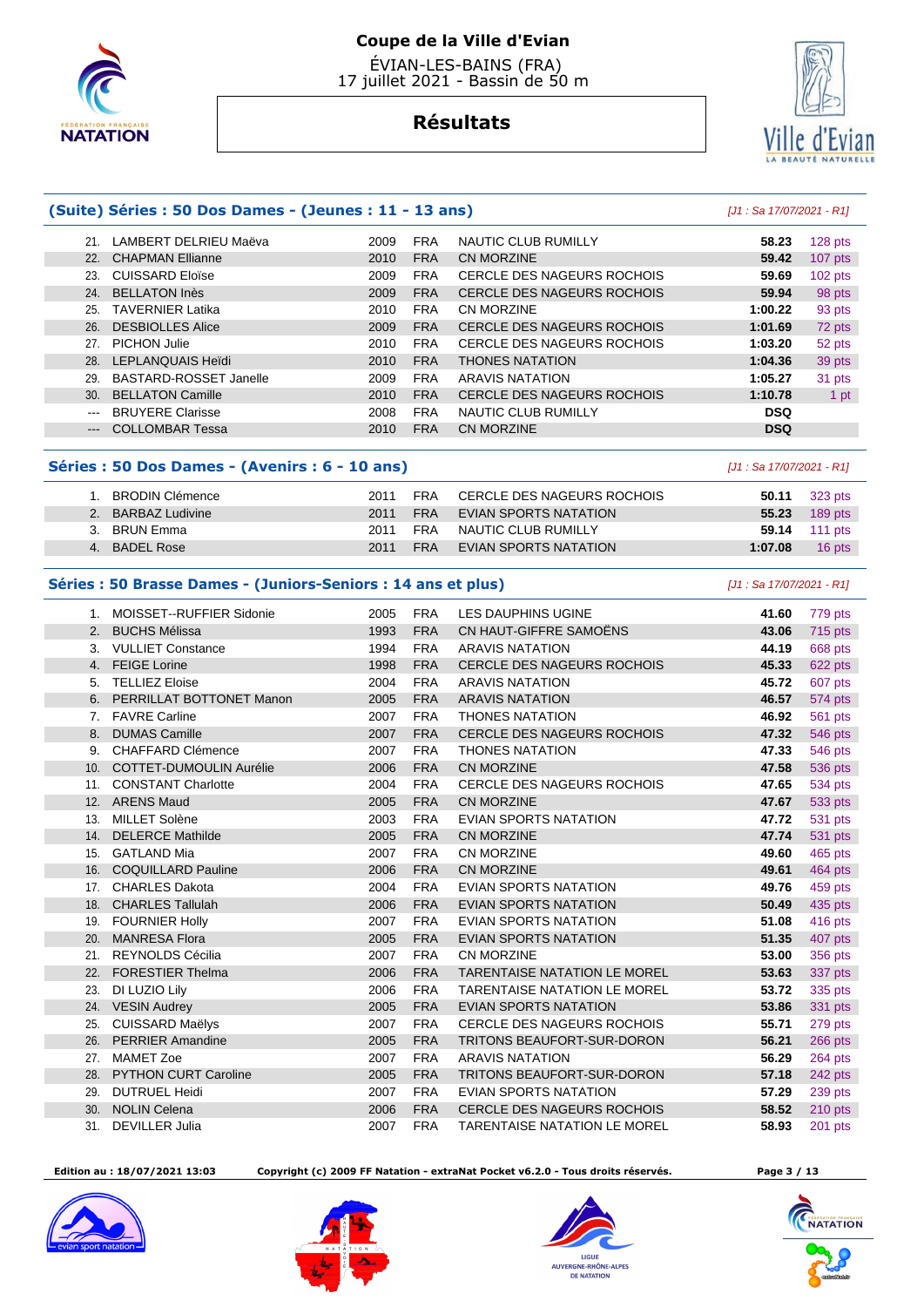

# Ville d 'Evian

# **Résultats**

|                        | (Suite) Séries : 50 Dos Dames - (Jeunes : 11 - 13 ans) | [J1 : Sa 17/07/2021 - R1] |            |                                   |            |           |
|------------------------|--------------------------------------------------------|---------------------------|------------|-----------------------------------|------------|-----------|
| 21.                    | LAMBERT DELRIEU Maëva                                  | 2009                      | <b>FRA</b> | NAUTIC CLUB RUMILLY               | 58.23      | 128 pts   |
| 22.                    | <b>CHAPMAN Ellianne</b>                                | 2010                      | <b>FRA</b> | CN MORZINE                        | 59.42      | $107$ pts |
| 23.                    | CUISSARD Eloïse                                        | 2009                      | <b>FRA</b> | <b>CERCLE DES NAGEURS ROCHOIS</b> | 59.69      | $102$ pts |
| 24.                    | <b>BELLATON Inès</b>                                   | 2009                      | <b>FRA</b> | <b>CERCLE DES NAGEURS ROCHOIS</b> | 59.94      | 98 pts    |
| 25.                    | <b>TAVERNIER Latika</b>                                | 2010                      | <b>FRA</b> | CN MORZINE                        | 1:00.22    | 93 pts    |
| 26.                    | <b>DESBIOLLES Alice</b>                                | 2009                      | <b>FRA</b> | <b>CERCLE DES NAGEURS ROCHOIS</b> | 1:01.69    | 72 pts    |
| 27.                    | PICHON Julie                                           | 2010                      | <b>FRA</b> | CERCLE DES NAGEURS ROCHOIS        | 1:03.20    | 52 pts    |
| 28.                    | LEPLANQUAIS Heidi                                      | 2010                      | <b>FRA</b> | <b>THONES NATATION</b>            | 1:04.36    | 39 pts    |
| 29.                    | BASTARD-ROSSET Janelle                                 | 2009                      | <b>FRA</b> | ARAVIS NATATION                   | 1:05.27    | 31 pts    |
| 30.                    | <b>BELLATON Camille</b>                                | 2010                      | <b>FRA</b> | <b>CERCLE DES NAGEURS ROCHOIS</b> | 1:10.78    | 1 pt      |
| $\frac{1}{2}$          | <b>BRUYERE Clarisse</b>                                | 2008                      | <b>FRA</b> | NAUTIC CLUB RUMILLY               | <b>DSQ</b> |           |
| $\qquad \qquad \cdots$ | <b>COLLOMBAR Tessa</b>                                 | 2010                      | <b>FRA</b> | CN MORZINE                        | <b>DSQ</b> |           |
|                        |                                                        |                           |            |                                   |            |           |

#### **Séries : 50 Dos Dames - (Avenirs : 6 - 10 ans)** [J1 : Sa 17/07/2021 - R1]

| BRODIN Clémence        | 2011 | FRA | CERCLE DES NAGEURS ROCHOIS | 50.11   | 323 pts              |
|------------------------|------|-----|----------------------------|---------|----------------------|
| <b>BARBAZ Ludivine</b> | 2011 | FRA | EVIAN SPORTS NATATION      | 55.23   | 189 pts              |
| BRUN Emma              | 2011 | FRA | NAUTIC CLUB RUMILLY        |         | <b>59.14</b> 111 pts |
| <b>BADEL Rose</b>      | 2011 | FRA | EVIAN SPORTS NATATION      | 1:07.08 | 16 pts               |
|                        |      |     |                            |         |                      |

#### **Séries : 50 Brasse Dames - (Juniors-Seniors : 14 ans et plus)** [J1 : Sa 17/07/2021 - R1]

| 1.  | MOISSET--RUFFIER Sidonie       | 2005 | <b>FRA</b> | <b>LES DAUPHINS UGINE</b>           | 41.60 | 779 pts        |
|-----|--------------------------------|------|------------|-------------------------------------|-------|----------------|
| 2.  | <b>BUCHS Mélissa</b>           | 1993 | <b>FRA</b> | CN HAUT-GIFFRE SAMOËNS              | 43.06 | 715 pts        |
| 3.  | <b>VULLIET Constance</b>       | 1994 | <b>FRA</b> | <b>ARAVIS NATATION</b>              | 44.19 | 668 pts        |
| 4.  | <b>FEIGE Lorine</b>            | 1998 | <b>FRA</b> | CERCLE DES NAGEURS ROCHOIS          | 45.33 | 622 pts        |
| 5.  | <b>TELLIEZ Eloise</b>          | 2004 | <b>FRA</b> | <b>ARAVIS NATATION</b>              | 45.72 | 607 pts        |
|     | PERRILLAT BOTTONET Manon       | 2005 | <b>FRA</b> | <b>ARAVIS NATATION</b>              | 46.57 | 574 pts        |
| 7.  | <b>FAVRE Carline</b>           | 2007 | <b>FRA</b> | <b>THONES NATATION</b>              | 46.92 | <b>561 pts</b> |
| 8.  | <b>DUMAS Camille</b>           | 2007 | <b>FRA</b> | <b>CERCLE DES NAGEURS ROCHOIS</b>   | 47.32 | 546 pts        |
| 9.  | <b>CHAFFARD Clémence</b>       | 2007 | <b>FRA</b> | <b>THONES NATATION</b>              | 47.33 | <b>546 pts</b> |
| 10. | <b>COTTET-DUMOULIN Aurélie</b> | 2006 | <b>FRA</b> | <b>CN MORZINE</b>                   | 47.58 | 536 pts        |
| 11. | <b>CONSTANT Charlotte</b>      | 2004 | <b>FRA</b> | <b>CERCLE DES NAGEURS ROCHOIS</b>   | 47.65 | 534 pts        |
| 12. | <b>ARENS Maud</b>              | 2005 | <b>FRA</b> | CN MORZINE                          | 47.67 | 533 pts        |
| 13. | <b>MILLET Solène</b>           | 2003 | <b>FRA</b> | <b>EVIAN SPORTS NATATION</b>        | 47.72 | 531 pts        |
| 14. | <b>DELERCE Mathilde</b>        | 2005 | <b>FRA</b> | <b>CN MORZINE</b>                   | 47.74 | 531 pts        |
| 15. | <b>GATLAND Mia</b>             | 2007 | <b>FRA</b> | <b>CN MORZINE</b>                   | 49.60 | 465 pts        |
| 16. | <b>COQUILLARD Pauline</b>      | 2006 | <b>FRA</b> | <b>CN MORZINE</b>                   | 49.61 | 464 pts        |
| 17. | <b>CHARLES Dakota</b>          | 2004 | <b>FRA</b> | <b>EVIAN SPORTS NATATION</b>        | 49.76 | 459 pts        |
| 18. | <b>CHARLES Tallulah</b>        | 2006 | <b>FRA</b> | <b>EVIAN SPORTS NATATION</b>        | 50.49 | 435 pts        |
| 19. | <b>FOURNIER Holly</b>          | 2007 | <b>FRA</b> | <b>EVIAN SPORTS NATATION</b>        | 51.08 | 416 pts        |
| 20. | <b>MANRESA Flora</b>           | 2005 | <b>FRA</b> | <b>EVIAN SPORTS NATATION</b>        | 51.35 | 407 pts        |
| 21. | REYNOLDS Cécilia               | 2007 | <b>FRA</b> | <b>CN MORZINE</b>                   | 53.00 | 356 pts        |
| 22. | <b>FORESTIER Thelma</b>        | 2006 | <b>FRA</b> | <b>TARENTAISE NATATION LE MOREL</b> | 53.63 | 337 pts        |
| 23. | DI LUZIO Lily                  | 2006 | <b>FRA</b> | <b>TARENTAISE NATATION LE MOREL</b> | 53.72 | 335 pts        |
| 24. | <b>VESIN Audrey</b>            | 2005 | <b>FRA</b> | <b>EVIAN SPORTS NATATION</b>        | 53.86 | 331 pts        |
| 25. | <b>CUISSARD Maëlys</b>         | 2007 | <b>FRA</b> | <b>CERCLE DES NAGEURS ROCHOIS</b>   | 55.71 | 279 pts        |
| 26. | <b>PERRIER Amandine</b>        | 2005 | <b>FRA</b> | TRITONS BEAUFORT-SUR-DORON          | 56.21 | 266 pts        |
| 27. | <b>MAMET Zoe</b>               | 2007 | <b>FRA</b> | <b>ARAVIS NATATION</b>              | 56.29 | 264 pts        |
| 28. | <b>PYTHON CURT Caroline</b>    | 2005 | <b>FRA</b> | TRITONS BEAUFORT-SUR-DORON          | 57.18 | 242 pts        |
| 29. | <b>DUTRUEL Heidi</b>           | 2007 | <b>FRA</b> | <b>EVIAN SPORTS NATATION</b>        | 57.29 | 239 pts        |
| 30. | <b>NOLIN Celena</b>            | 2006 | <b>FRA</b> | <b>CERCLE DES NAGEURS ROCHOIS</b>   | 58.52 | 210 pts        |
| 31. | <b>DEVILLER Julia</b>          | 2007 | <b>FRA</b> | <b>TARENTAISE NATATION LE MOREL</b> | 58.93 | 201 pts        |
|     |                                |      |            |                                     |       |                |

 **Edition au : 18/07/2021 13:03 Copyright (c) 2009 FF Natation - extraNat Pocket v6.2.0 - Tous droits réservés. Page 3 / 13** 









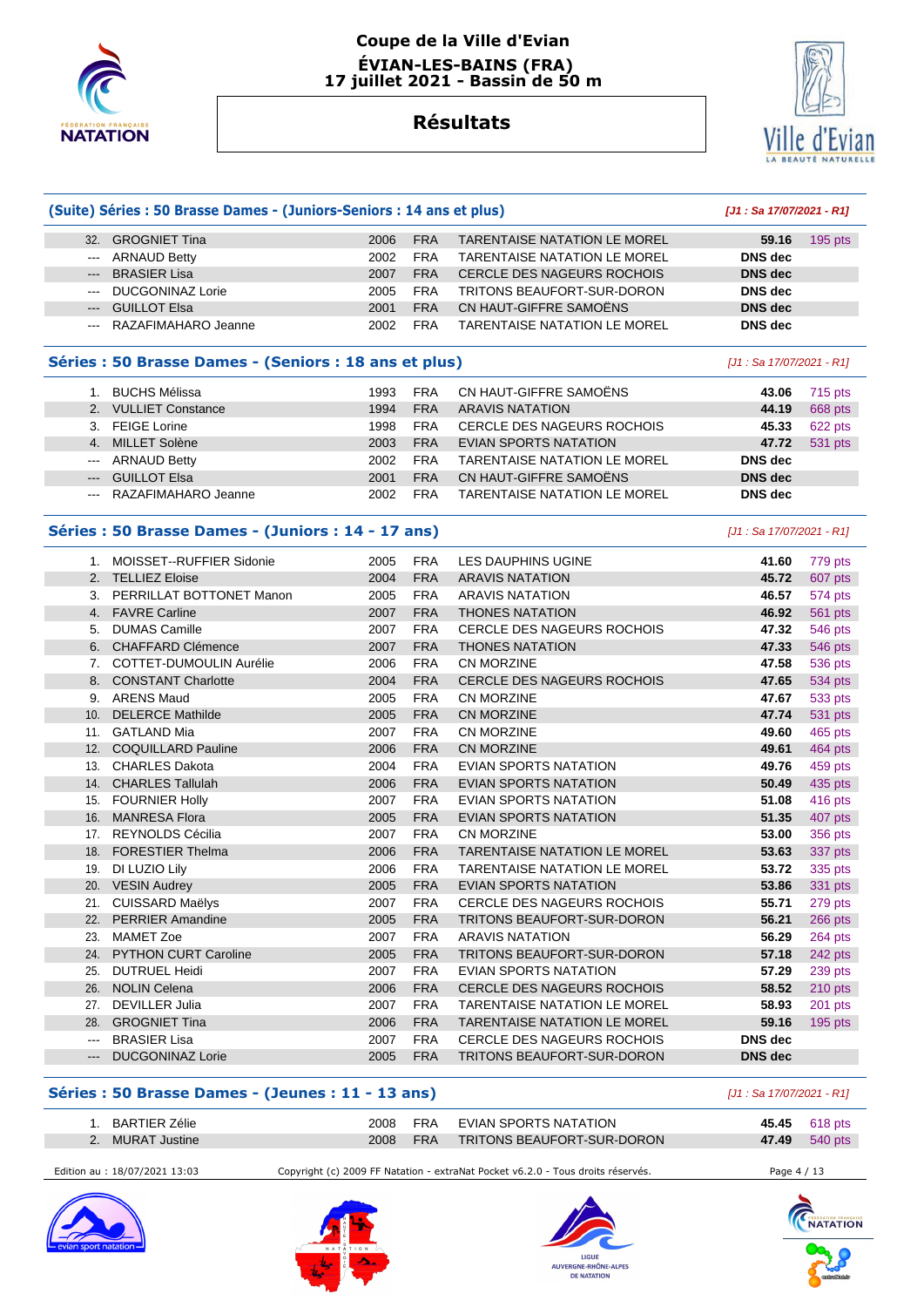

#### **Coupe de la Ville d'Evian ÉVIAN-LES-BAINS (FRA) 17 juillet 2021 - Bassin de 50 m**

### **Résultats**

**(Suite) Séries : 50 Brasse Dames - (Juniors-Seniors : 14 ans et plus) [J1 : Sa 17/07/2021 - R1]**



|                                                       | 32. GROGNIET Tina                                  | 2006 | <b>FRA</b> | <b>TARENTAISE NATATION LE MOREL</b> | 59.16                     | $195$ pts |
|-------------------------------------------------------|----------------------------------------------------|------|------------|-------------------------------------|---------------------------|-----------|
| $--$                                                  | <b>ARNAUD Betty</b>                                | 2002 | <b>FRA</b> | <b>TARENTAISE NATATION LE MOREL</b> | <b>DNS</b> dec            |           |
|                                                       | <b>BRASIER Lisa</b>                                | 2007 | <b>FRA</b> | CERCLE DES NAGEURS ROCHOIS          | <b>DNS</b> dec            |           |
| $\cdots$                                              | <b>DUCGONINAZ Lorie</b>                            | 2005 | <b>FRA</b> | TRITONS BEAUFORT-SUR-DORON          | <b>DNS</b> dec            |           |
|                                                       | --- GUILLOT Elsa                                   | 2001 | <b>FRA</b> | CN HAUT-GIFFRE SAMOËNS              | <b>DNS</b> dec            |           |
| $- - -$                                               | RAZAFIMAHARO Jeanne                                | 2002 | <b>FRA</b> | <b>TARENTAISE NATATION LE MOREL</b> | <b>DNS</b> dec            |           |
| Séries : 50 Brasse Dames - (Seniors : 18 ans et plus) |                                                    |      |            |                                     | [J1 : Sa 17/07/2021 - R1] |           |
|                                                       | 1. BUCHS Mélissa                                   | 1993 | <b>FRA</b> | CN HAUT-GIFFRE SAMOËNS              | 43.06                     | 715 pts   |
|                                                       | 2. VULLIET Constance                               | 1994 | <b>FRA</b> | <b>ARAVIS NATATION</b>              | 44.19                     | 668 pts   |
|                                                       | 3. FEIGE Lorine                                    | 1998 | <b>FRA</b> | <b>CERCLE DES NAGEURS ROCHOIS</b>   | 45.33                     | 622 pts   |
| 4.                                                    | <b>MILLET Solène</b>                               | 2003 | <b>FRA</b> | <b>EVIAN SPORTS NATATION</b>        | 47.72                     | 531 pts   |
| $\sim$                                                | <b>ARNAUD Betty</b>                                | 2002 | <b>FRA</b> | <b>TARENTAISE NATATION LE MOREL</b> | <b>DNS</b> dec            |           |
| $\qquad \qquad - -$                                   | <b>GUILLOT Elsa</b>                                | 2001 | <b>FRA</b> | CN HAUT-GIFFRE SAMOËNS              | <b>DNS</b> dec            |           |
|                                                       | RAZAFIMAHARO Jeanne                                | 2002 | <b>FRA</b> | <b>TARENTAISE NATATION LE MOREL</b> | <b>DNS</b> dec            |           |
|                                                       | Séries : 50 Brasse Dames - (Juniors : 14 - 17 ans) |      |            |                                     | [J1: Sa 17/07/2021 - R1]  |           |
|                                                       | 1. MOISSET--RUFFIER Sidonie                        | 2005 | <b>FRA</b> | LES DAUPHINS UGINE                  | 41.60                     | 779 pts   |
|                                                       | 2. TELLIEZ Eloise                                  | 2004 | <b>FRA</b> | <b>ARAVIS NATATION</b>              | 45.72                     | 607 pts   |
|                                                       | 3. PERRILLAT BOTTONET Manon                        | 2005 | <b>FRA</b> | <b>ARAVIS NATATION</b>              | 46.57                     | 574 pts   |
|                                                       | 4. FAVRE Carline                                   | 2007 | <b>FRA</b> | <b>THONES NATATION</b>              | 46.92                     | 561 pts   |
|                                                       | 5. DUMAS Camille                                   | 2007 | <b>FRA</b> | <b>CERCLE DES NAGEURS ROCHOIS</b>   | 47.32                     | 546 pts   |
|                                                       | 6. CHAFFARD Clémence                               | 2007 | <b>FRA</b> | <b>THONES NATATION</b>              | 47.33                     | 546 pts   |
|                                                       | 7. COTTET-DUMOULIN Aurélie                         | 2006 | <b>FRA</b> | CN MORZINE                          | 47.58                     | 536 pts   |
|                                                       | 8. CONSTANT Charlotte                              | 2004 | <b>FRA</b> | CERCLE DES NAGEURS ROCHOIS          | 47.65                     | 534 pts   |
|                                                       | 9. ARENS Maud                                      | 2005 | <b>FRA</b> | <b>CN MORZINE</b>                   | 47.67                     | 533 pts   |
|                                                       | 10. DELERCE Mathilde                               | 2005 | <b>FRA</b> | CN MORZINE                          | 47.74                     | 531 pts   |
|                                                       | 11. GATLAND Mia                                    | 2007 | <b>FRA</b> | <b>CN MORZINE</b>                   | 49.60                     | 465 pts   |
|                                                       | 12. COQUILLARD Pauline                             | 2006 | <b>FRA</b> | CN MORZINE                          | 49.61                     | 464 pts   |
|                                                       | 13. CHARLES Dakota                                 | 2004 | <b>FRA</b> | <b>EVIAN SPORTS NATATION</b>        | 49.76                     | 459 pts   |
|                                                       | 14. CHARLES Tallulah                               | 2006 | <b>FRA</b> | <b>EVIAN SPORTS NATATION</b>        | 50.49                     | 435 pts   |
|                                                       | 15. FOURNIER Holly                                 | 2007 | <b>FRA</b> | EVIAN SPORTS NATATION               | 51.08                     | 416 pts   |
| 16.                                                   | <b>MANRESA Flora</b>                               | 2005 | <b>FRA</b> | <b>EVIAN SPORTS NATATION</b>        | 51.35                     | 407 pts   |
|                                                       | 17. REYNOLDS Cécilia                               | 2007 | <b>FRA</b> | CN MORZINE                          | 53.00                     | 356 pts   |
|                                                       | 18. FORESTIER Thelma                               | 2006 | <b>FRA</b> | TARENTAISE NATATION LE MOREL        | 53.63                     | 337 pts   |
| 19.                                                   | DI LUZIO Lily                                      | 2006 | <b>FRA</b> | <b>TARENTAISE NATATION LE MOREL</b> | 53.72                     | 335 pts   |

# **Séries : 50 Brasse Dames - (Jeunes : 11 - 13 ans)** [J1 : Sa 17/07/2021 - R1]

| BARTIER Zélie    | 2008  | FRA        | EVIAN SPORTS NATATION      |       | 45.45 618 pts |
|------------------|-------|------------|----------------------------|-------|---------------|
| 2. MURAT Justine | 2008. | <b>FRA</b> | TRITONS BEAUFORT-SUR-DORON | 47.49 | 540 pts       |

 --- BRASIER Lisa 2007 FRA CERCLE DES NAGEURS ROCHOIS **DNS dec**  --- DUCGONINAZ Lorie 2005 FRA TRITONS BEAUFORT-SUR-DORON **DNS dec** 

 20. VESIN Audrey 2005 FRA EVIAN SPORTS NATATION **53.86** 331 pts 21. CUISSARD Maëlys 2007 FRA CERCLE DES NAGEURS ROCHOIS **55.71** 279 pts 22. PERRIER Amandine 2005 FRA TRITONS BEAUFORT-SUR-DORON **56.21** 266 pts 23. MAMET Zoe 2007 FRA ARAVIS NATATION **56.29** 264 pts 24. PYTHON CURT Caroline 2005 FRA TRITONS BEAUFORT-SUR-DORON **57.18** 242 pts 25. DUTRUEL Heidi 2007 FRA EVIAN SPORTS NATATION **57.29** 239 pts 26. NOLIN Celena 2006 FRA CERCLE DES NAGEURS ROCHOIS **58.52** 210 pts 27. DEVILLER Julia 2007 FRA TARENTAISE NATATION LE MOREL **58.93** 201 pts 28. GROGNIET Tina 2006 FRA TARENTAISE NATATION LE MOREL **59.16** 195 pts

Edition au : 18/07/2021 13:03 Copyright (c) 2009 FF Natation - extraNat Pocket v6.2.0 - Tous droits réservés. Page 4 / 13









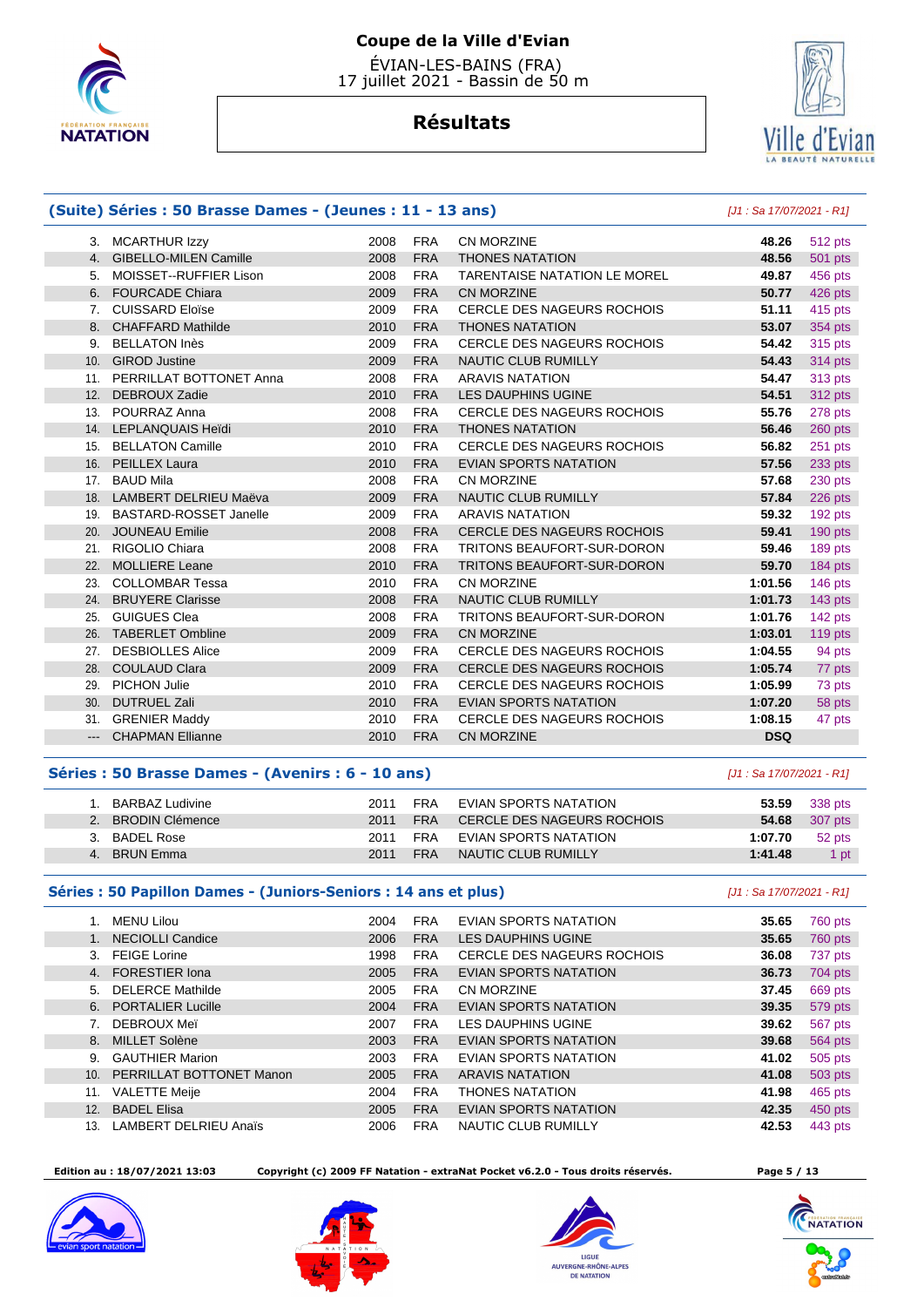

# **Résultats**



#### **(Suite) Séries : 50 Brasse Dames - (Jeunes : 11 - 13 ans)** [J1 : Sa 17/07/2021 - R1] 3. MCARTHUR Izzy 2008 FRA CN MORZINE **48.26** 512 pts 4. GIBELLO-MILEN Camille 2008 FRA THONES NATATION **48.56** 501 pts 5. MOISSET--RUFFIER Lison 2008 FRA TARENTAISE NATATION LE MOREL **49.87** 456 pts 6. FOURCADE Chiara 2009 FRA CN MORZINE **50.77** 426 pts 7. CUISSARD Eloïse 2009 FRA CERCLE DES NAGEURS ROCHOIS **51.11** 415 pts 8. CHAFFARD Mathilde 2010 FRA THONES NATATION **53.07** 354 pts 9. BELLATON Inès 2009 FRA CERCLE DES NAGEURS ROCHOIS **54.42** 315 pts 10. GIROD Justine 2009 FRA NAUTIC CLUB RUMILLY **54.43** 314 pts 11. PERRILLAT BOTTONET Anna 2008 FRA ARAVIS NATATION **54.47** 313 pts 12. DEBROUX Zadie 2010 FRA LES DAUPHINS UGINE **54.51** 312 pts 13. POURRAZ Anna 2008 FRA CERCLE DES NAGEURS ROCHOIS **55.76** 278 pts 14. LEPLANQUAIS Heïdi 2010 FRA THONES NATATION **56.46** 260 pts 15. BELLATON Camille 2010 FRA CERCLE DES NAGEURS ROCHOIS **56.82** 251 pts 16. PEILLEX Laura 2010 FRA EVIAN SPORTS NATATION **57.56** 233 pts 17. BAUD Mila 2008 FRA CN MORZINE **57.68** 230 pts 18. LAMBERT DELRIEU Maëva 2009 FRA NAUTIC CLUB RUMILLY **57.84** 226 pts 19. BASTARD-ROSSET Janelle 2009 FRA ARAVIS NATATION **59.32** 192 pts 20. JOUNEAU Emilie 2008 FRA CERCLE DES NAGEURS ROCHOIS **59.41** 190 pts 21. RIGOLIO Chiara 2008 FRA TRITONS BEAUFORT-SUR-DORON **59.46** 189 pts 22. MOLLIERE Leane 2010 FRA TRITONS BEAUFORT-SUR-DORON **59.70** 184 pts 23. COLLOMBAR Tessa 2010 FRA CN MORZINE **1:01.56** 146 pts 24. BRUYERE Clarisse 2008 FRA NAUTIC CLUB RUMILLY **1:01.73** 143 pts 25. GUIGUES Clea 2008 FRA TRITONS BEAUFORT-SUR-DORON **1:01.76** 142 pts 26. TABERLET Ombline 2009 FRA CN MORZINE **1:03.01** 119 pts 27. DESBIOLLES Alice 2009 FRA CERCLE DES NAGEURS ROCHOIS **1:04.55** 94 pts 28. COULAUD Clara **2009 FRA CERCLE DES NAGEURS ROCHOIS 1:05.74 1:05.74 1:05**  29. PICHON Julie 2010 FRA CERCLE DES NAGEURS ROCHOIS **1:05.99** 73 pts 30. DUTRUEL Zali 2010 FRA EVIAN SPORTS NATATION **1:07.20** 58 pts

# 31. GRENIER Maddy 2010 FRA CERCLE DES NAGEURS ROCHOIS **1:08.15** 47 pts --- CHAPMAN Ellianne 2010 FRA CN MORZINE **DSQ**

#### **Séries : 50 Brasse Dames - (Avenirs : 6 - 10 ans)** [J1 : Sa 17/07/2021 - R1]

| BARBAZ Ludivine | 2011 | <b>FRA</b> | EVIAN SPORTS NATATION               | 53.59   | 338 pts |
|-----------------|------|------------|-------------------------------------|---------|---------|
| BRODIN Clémence | 2011 | FRA        | CERCLE DES NAGEURS ROCHOIS          | 54.68   | 307 pts |
| BADEL Rose      | 2011 | FRA        | EVIAN SPORTS NATATION               | 1:07.70 | 52 pts  |
| BRUN Emma       | 2011 | <b>FRA</b> | $\land$ NAUTIC CLUB RUMILLY $\land$ | 1:41.48 | 1 pt    |

#### **Séries : 50 Papillon Dames - (Juniors-Seniors : 14 ans et plus)** [J1 : Sa 17/07/2021 - R1]

|         | MENU Lilou                   | 2004 | <b>FRA</b> | EVIAN SPORTS NATATION             | 35.65 | 760 pts |
|---------|------------------------------|------|------------|-----------------------------------|-------|---------|
| $1_{-}$ | <b>NECIOLLI Candice</b>      | 2006 | <b>FRA</b> | <b>LES DAUPHINS UGINE</b>         | 35.65 | 760 pts |
| 3.      | <b>FEIGE Lorine</b>          | 1998 | <b>FRA</b> | <b>CERCLE DES NAGEURS ROCHOIS</b> | 36.08 | 737 pts |
| 4.      | <b>FORESTIER Iona</b>        | 2005 | <b>FRA</b> | <b>EVIAN SPORTS NATATION</b>      | 36.73 | 704 pts |
| 5.      | <b>DELERCE Mathilde</b>      | 2005 | <b>FRA</b> | CN MORZINE                        | 37.45 | 669 pts |
| 6.      | <b>PORTALIER Lucille</b>     | 2004 | <b>FRA</b> | <b>EVIAN SPORTS NATATION</b>      | 39.35 | 579 pts |
| 7.      | DEBROUX Mei                  | 2007 | <b>FRA</b> | <b>LES DAUPHINS UGINE</b>         | 39.62 | 567 pts |
| 8.      | <b>MILLET Solène</b>         | 2003 | <b>FRA</b> | <b>EVIAN SPORTS NATATION</b>      | 39.68 | 564 pts |
| 9.      | <b>GAUTHIER Marion</b>       | 2003 | <b>FRA</b> | EVIAN SPORTS NATATION             | 41.02 | 505 pts |
| 10.     | PERRILLAT BOTTONET Manon     | 2005 | <b>FRA</b> | <b>ARAVIS NATATION</b>            | 41.08 | 503 pts |
| 11.     | <b>VALETTE Meije</b>         | 2004 | <b>FRA</b> | <b>THONES NATATION</b>            | 41.98 | 465 pts |
| 12.     | <b>BADEL Elisa</b>           | 2005 | <b>FRA</b> | <b>EVIAN SPORTS NATATION</b>      | 42.35 | 450 pts |
| 13.     | <b>LAMBERT DELRIEU Anaïs</b> | 2006 | <b>FRA</b> | NAUTIC CLUB RUMILLY               | 42.53 | 443 pts |

 **Edition au : 18/07/2021 13:03 Copyright (c) 2009 FF Natation - extraNat Pocket v6.2.0 - Tous droits réservés. Page 5 / 13** 









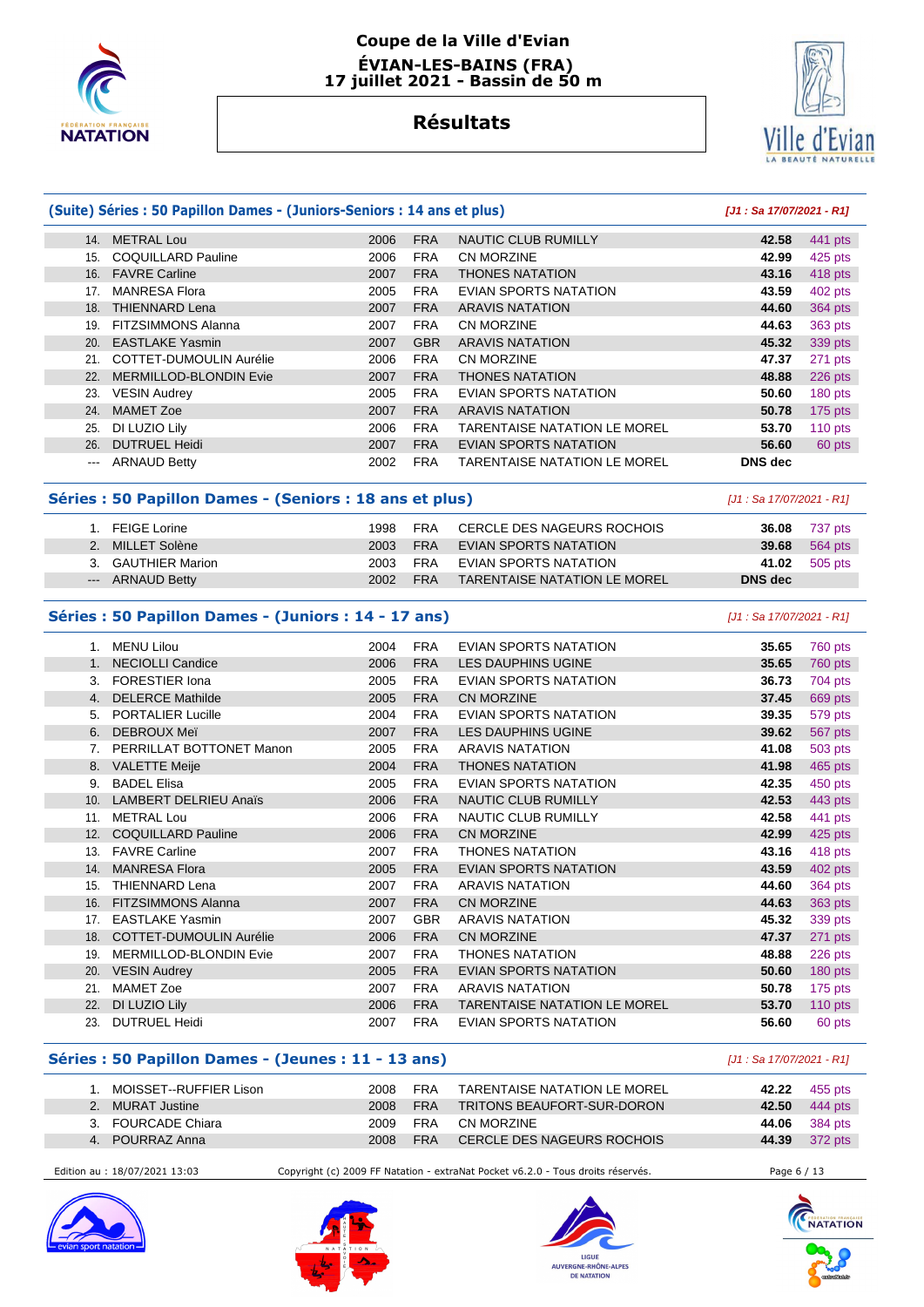

#### **Coupe de la Ville d'Evian ÉVIAN-LES-BAINS (FRA) 17 juillet 2021 - Bassin de 50 m**

# **Résultats**



|      | (Suite) Séries : 50 Papillon Dames - (Juniors-Seniors : 14 ans et plus) |      | [J1: Sa 17/07/2021 - R1] |                                     |                |           |
|------|-------------------------------------------------------------------------|------|--------------------------|-------------------------------------|----------------|-----------|
| 14.  | <b>METRAL Lou</b>                                                       | 2006 | <b>FRA</b>               | NAUTIC CLUB RUMILLY                 | 42.58          | 441 pts   |
| 15.  | <b>COQUILLARD Pauline</b>                                               | 2006 | <b>FRA</b>               | CN MORZINE                          | 42.99          | $425$ pts |
| 16.  | <b>FAVRE Carline</b>                                                    | 2007 | <b>FRA</b>               | <b>THONES NATATION</b>              | 43.16          | 418 pts   |
| 17.  | <b>MANRESA Flora</b>                                                    | 2005 | <b>FRA</b>               | EVIAN SPORTS NATATION               | 43.59          | 402 pts   |
| 18.  | THIENNARD Lena                                                          | 2007 | <b>FRA</b>               | <b>ARAVIS NATATION</b>              | 44.60          | 364 pts   |
| 19.  | <b>FITZSIMMONS Alanna</b>                                               | 2007 | <b>FRA</b>               | CN MORZINE                          | 44.63          | 363 pts   |
| 20.  | <b>EASTLAKE Yasmin</b>                                                  | 2007 | <b>GBR</b>               | <b>ARAVIS NATATION</b>              | 45.32          | 339 pts   |
| 21.  | COTTET-DUMOULIN Aurélie                                                 | 2006 | <b>FRA</b>               | CN MORZINE                          | 47.37          | 271 pts   |
| 22.  | <b>MERMILLOD-BLONDIN Evie</b>                                           | 2007 | <b>FRA</b>               | <b>THONES NATATION</b>              | 48.88          | 226 pts   |
| 23.  | <b>VESIN Audrey</b>                                                     | 2005 | <b>FRA</b>               | EVIAN SPORTS NATATION               | 50.60          | 180 pts   |
| 24.  | <b>MAMET Zoe</b>                                                        | 2007 | <b>FRA</b>               | <b>ARAVIS NATATION</b>              | 50.78          | $175$ pts |
| 25.  | DI LUZIO Lily                                                           | 2006 | <b>FRA</b>               | <b>TARENTAISE NATATION LE MOREL</b> | 53.70          | $110$ pts |
| 26.  | <b>DUTRUEL Heidi</b>                                                    | 2007 | <b>FRA</b>               | <b>EVIAN SPORTS NATATION</b>        | 56.60          | 60 pts    |
| $--$ | <b>ARNAUD Betty</b>                                                     | 2002 | <b>FRA</b>               | <b>TARENTAISE NATATION LE MOREL</b> | <b>DNS</b> dec |           |

#### **Séries : 50 Papillon Dames - (Seniors : 18 ans et plus)** [J1 : Sa 17/07/2021 - R1]

| FEIGE Lorine       | 1998 |     | FRA CERCLE DES NAGEURS ROCHOIS |         | <b>36.08</b> 737 pts |
|--------------------|------|-----|--------------------------------|---------|----------------------|
| 2. MILLET Solène   |      |     | 2003 FRA EVIAN SPORTS NATATION |         | <b>39.68</b> 564 pts |
| 3. GAUTHIER Marion |      |     | 2003 FRA EVIAN SPORTS NATATION |         | 41.02 505 pts        |
| --- ARNAUD Betty   | 2002 | FRA | TARENTAISE NATATION LE MOREL   | DNS dec |                      |

#### **Séries : 50 Papillon Dames - (Juniors : 14 - 17 ans)** [J1 : Sa 17/07/2021 - R1]

| $1_{-}$ | <b>MENU Lilou</b>              | 2004 | <b>FRA</b> | EVIAN SPORTS NATATION               | 35.65 | <b>760 pts</b> |
|---------|--------------------------------|------|------------|-------------------------------------|-------|----------------|
| 1.      | <b>NECIOLLI Candice</b>        | 2006 | <b>FRA</b> | LES DAUPHINS UGINE                  | 35.65 | 760 pts        |
| 3.      | <b>FORESTIER Iona</b>          | 2005 | <b>FRA</b> | <b>EVIAN SPORTS NATATION</b>        | 36.73 | 704 pts        |
| 4.      | <b>DELERCE Mathilde</b>        | 2005 | <b>FRA</b> | CN MORZINE                          | 37.45 | 669 pts        |
| 5.      | <b>PORTALIER Lucille</b>       | 2004 | <b>FRA</b> | EVIAN SPORTS NATATION               | 39.35 | 579 pts        |
| 6.      | DEBROUX Meï                    | 2007 | <b>FRA</b> | LES DAUPHINS UGINE                  | 39.62 | 567 pts        |
| 7.      | PERRILLAT BOTTONET Manon       | 2005 | <b>FRA</b> | <b>ARAVIS NATATION</b>              | 41.08 | 503 pts        |
| 8.      | <b>VALETTE Meije</b>           | 2004 | <b>FRA</b> | <b>THONES NATATION</b>              | 41.98 | 465 pts        |
| 9.      | <b>BADEL Elisa</b>             | 2005 | <b>FRA</b> | <b>EVIAN SPORTS NATATION</b>        | 42.35 | 450 pts        |
| 10.     | <b>LAMBERT DELRIEU Anaïs</b>   | 2006 | <b>FRA</b> | NAUTIC CLUB RUMILLY                 | 42.53 | 443 pts        |
| 11.     | <b>METRAL Lou</b>              | 2006 | <b>FRA</b> | NAUTIC CLUB RUMILLY                 | 42.58 | 441 pts        |
| 12.     | <b>COQUILLARD Pauline</b>      | 2006 | <b>FRA</b> | CN MORZINE                          | 42.99 | 425 pts        |
| 13.     | <b>FAVRE Carline</b>           | 2007 | <b>FRA</b> | <b>THONES NATATION</b>              | 43.16 | 418 pts        |
| 14.     | <b>MANRESA Flora</b>           | 2005 | <b>FRA</b> | EVIAN SPORTS NATATION               | 43.59 | 402 pts        |
| 15.     | <b>THIENNARD Lena</b>          | 2007 | <b>FRA</b> | <b>ARAVIS NATATION</b>              | 44.60 | 364 pts        |
| 16.     | <b>FITZSIMMONS Alanna</b>      | 2007 | <b>FRA</b> | CN MORZINE                          | 44.63 | 363 pts        |
| 17.     | <b>EASTLAKE Yasmin</b>         | 2007 | <b>GBR</b> | <b>ARAVIS NATATION</b>              | 45.32 | 339 pts        |
| 18.     | <b>COTTET-DUMOULIN Aurélie</b> | 2006 | <b>FRA</b> | CN MORZINE                          | 47.37 | 271 pts        |
| 19.     | MERMILLOD-BLONDIN Evie         | 2007 | <b>FRA</b> | <b>THONES NATATION</b>              | 48.88 | 226 pts        |
| 20.     | <b>VESIN Audrey</b>            | 2005 | <b>FRA</b> | EVIAN SPORTS NATATION               | 50.60 | 180 pts        |
| 21.     | <b>MAMET Zoe</b>               | 2007 | <b>FRA</b> | <b>ARAVIS NATATION</b>              | 50.78 | $175$ pts      |
| 22.     | DI LUZIO Lily                  | 2006 | <b>FRA</b> | <b>TARENTAISE NATATION LE MOREL</b> | 53.70 | 110 $pts$      |
| 23.     | <b>DUTRUEL Heidi</b>           | 2007 | <b>FRA</b> | EVIAN SPORTS NATATION               | 56.60 | 60 pts         |

#### **Séries : 50 Papillon Dames - (Jeunes : 11 - 13 ans)** [J1 : Sa 17/07/2021 - R1]

| I. MOISSET--RUFFIER Lison. | 2008 | <b>FRA</b> | TARENTAISE NATATION LE MOREL |          | <b>42.22</b> 455 pts |
|----------------------------|------|------------|------------------------------|----------|----------------------|
| 2. MURAT Justine           | 2008 | <b>FRA</b> | TRITONS BEAUFORT-SUR-DORON   | $-42.50$ | 444 pts              |
| 3. FOURCADE Chiara         | 2009 | FRA        | CN MORZINE                   |          | <b>44.06</b> 384 pts |
| 4. POURRAZ Anna            | 2008 | <b>FRA</b> | CERCLE DES NAGEURS ROCHOIS   |          | 44.39 372 pts        |

Edition au : 18/07/2021 13:03 Copyright (c) 2009 FF Natation - extraNat Pocket v6.2.0 - Tous droits réservés. Page 6 / 13







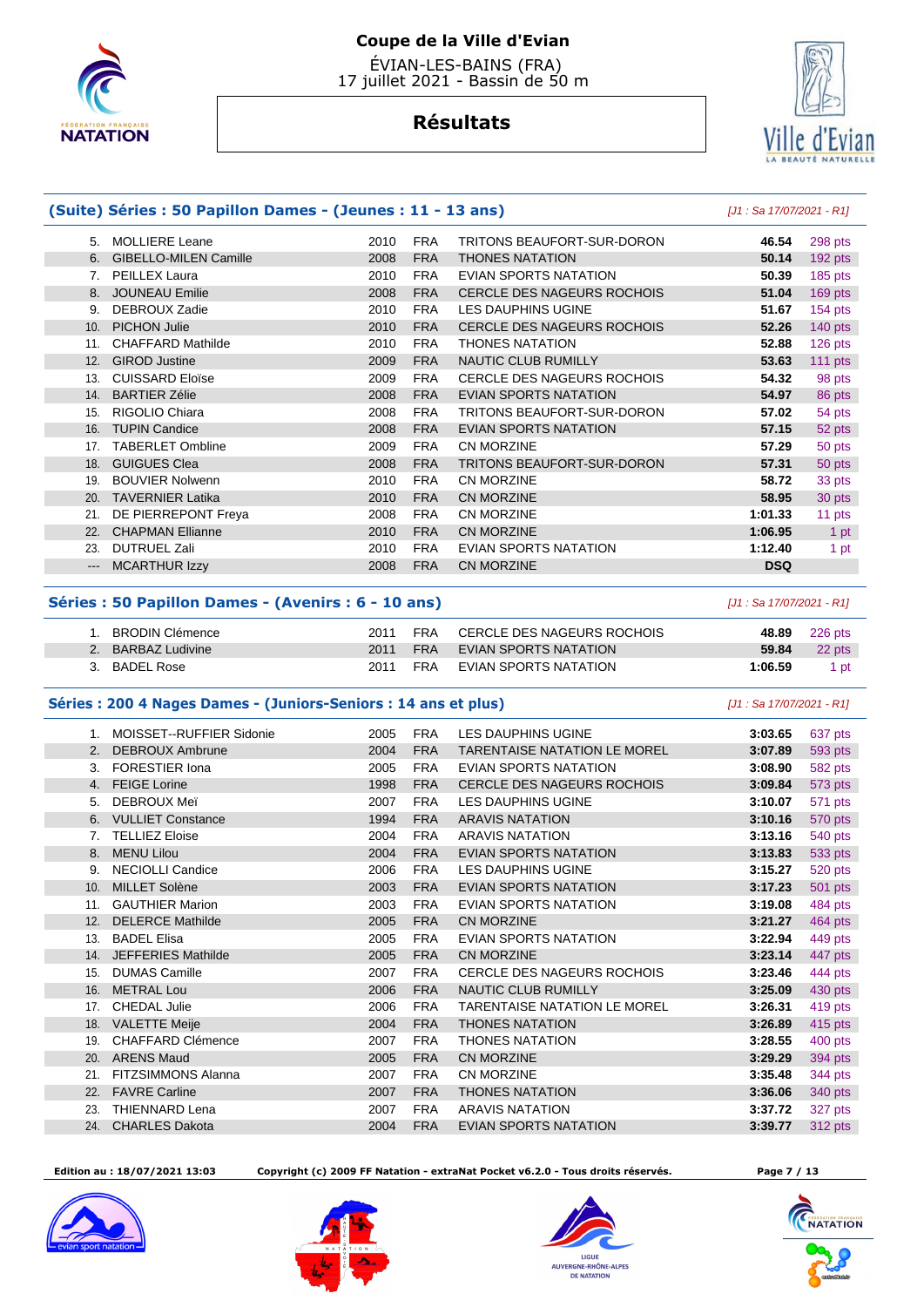

# Ville d'Evian

# **Résultats**

|       | (Suite) Séries : 50 Papillon Dames - (Jeunes : 11 - 13 ans) |      |            |                                   | [J1 : Sa 17/07/2021 - R1] |           |
|-------|-------------------------------------------------------------|------|------------|-----------------------------------|---------------------------|-----------|
| 5.    | <b>MOLLIERE Leane</b>                                       | 2010 | <b>FRA</b> | TRITONS BEAUFORT-SUR-DORON        | 46.54                     | 298 pts   |
| 6.    | <b>GIBELLO-MILEN Camille</b>                                | 2008 | <b>FRA</b> | <b>THONES NATATION</b>            | 50.14                     | 192 pts   |
| 7.    | PEILLEX Laura                                               | 2010 | <b>FRA</b> | EVIAN SPORTS NATATION             | 50.39                     | 185 pts   |
| 8.    | <b>JOUNEAU Emilie</b>                                       | 2008 | <b>FRA</b> | <b>CERCLE DES NAGEURS ROCHOIS</b> | 51.04                     | 169 pts   |
| 9.    | <b>DEBROUX Zadie</b>                                        | 2010 | <b>FRA</b> | <b>LES DAUPHINS UGINE</b>         | 51.67                     | 154 pts   |
| 10.   | <b>PICHON Julie</b>                                         | 2010 | <b>FRA</b> | <b>CERCLE DES NAGEURS ROCHOIS</b> | 52.26                     | 140 $pts$ |
| 11.   | <b>CHAFFARD Mathilde</b>                                    | 2010 | <b>FRA</b> | <b>THONES NATATION</b>            | 52.88                     | $126$ pts |
| 12.   | <b>GIROD Justine</b>                                        | 2009 | <b>FRA</b> | <b>NAUTIC CLUB RUMILLY</b>        | 53.63                     | 111 $pts$ |
| 13.   | <b>CUISSARD Eloïse</b>                                      | 2009 | <b>FRA</b> | <b>CERCLE DES NAGEURS ROCHOIS</b> | 54.32                     | 98 pts    |
| 14.   | <b>BARTIER Zélie</b>                                        | 2008 | <b>FRA</b> | <b>EVIAN SPORTS NATATION</b>      | 54.97                     | 86 pts    |
| 15.   | RIGOLIO Chiara                                              | 2008 | <b>FRA</b> | TRITONS BEAUFORT-SUR-DORON        | 57.02                     | 54 pts    |
| 16.   | <b>TUPIN Candice</b>                                        | 2008 | <b>FRA</b> | <b>EVIAN SPORTS NATATION</b>      | 57.15                     | 52 pts    |
| 17.   | <b>TABERLET Ombline</b>                                     | 2009 | <b>FRA</b> | CN MORZINE                        | 57.29                     | 50 pts    |
| 18.   | <b>GUIGUES Clea</b>                                         | 2008 | <b>FRA</b> | TRITONS BEAUFORT-SUR-DORON        | 57.31                     | 50 pts    |
| 19.   | <b>BOUVIER Nolwenn</b>                                      | 2010 | <b>FRA</b> | <b>CN MORZINE</b>                 | 58.72                     | 33 pts    |
| 20.   | <b>TAVERNIER Latika</b>                                     | 2010 | <b>FRA</b> | <b>CN MORZINE</b>                 | 58.95                     | 30 pts    |
| 21.   | DE PIERREPONT Freya                                         | 2008 | <b>FRA</b> | <b>CN MORZINE</b>                 | 1:01.33                   | 11 pts    |
| 22.   | <b>CHAPMAN Ellianne</b>                                     | 2010 | <b>FRA</b> | <b>CN MORZINE</b>                 | 1:06.95                   | 1 pt      |
| 23.   | <b>DUTRUEL Zali</b>                                         | 2010 | <b>FRA</b> | EVIAN SPORTS NATATION             | 1:12.40                   | 1 pt      |
| $---$ | <b>MCARTHUR Izzy</b>                                        | 2008 | <b>FRA</b> | <b>CN MORZINE</b>                 | <b>DSQ</b>                |           |

#### **Séries : 50 Papillon Dames - (Avenirs : 6 - 10 ans)** [J1 : Sa 17/07/2021 - R1]

| BRODIN Clémence    | 2011 | <b>FRA</b> | CERCLE DES NAGEURS ROCHOIS |         | 48.89 226 pts |
|--------------------|------|------------|----------------------------|---------|---------------|
| 2. BARBAZ Ludivine | 2011 | <b>FRA</b> | EVIAN SPORTS NATATION      | 59.84   | 22 pts        |
| 3. BADEL Rose      | 2011 | FRA        | EVIAN SPORTS NATATION      | 1:06.59 | 1 pt          |

#### **Séries : 200 4 Nages Dames - (Juniors-Seniors : 14 ans et plus)** [J1 : Sa 17/07/2021 - R1]

| $1_{\cdot}$ | MOISSET--RUFFIER Sidonie  | 2005 | <b>FRA</b> | LES DAUPHINS UGINE                  | 3:03.65 | 637 pts |
|-------------|---------------------------|------|------------|-------------------------------------|---------|---------|
| 2.          | <b>DEBROUX Ambrune</b>    | 2004 | <b>FRA</b> | <b>TARENTAISE NATATION LE MOREL</b> | 3:07.89 | 593 pts |
| 3.          | <b>FORESTIER Iona</b>     | 2005 | <b>FRA</b> | <b>EVIAN SPORTS NATATION</b>        | 3:08.90 | 582 pts |
| 4.          | <b>FEIGE Lorine</b>       | 1998 | <b>FRA</b> | <b>CERCLE DES NAGEURS ROCHOIS</b>   | 3:09.84 | 573 pts |
| 5.          | DEBROUX Mei               | 2007 | <b>FRA</b> | LES DAUPHINS UGINE                  | 3:10.07 | 571 pts |
| 6.          | <b>VULLIET Constance</b>  | 1994 | <b>FRA</b> | <b>ARAVIS NATATION</b>              | 3:10.16 | 570 pts |
| 7.          | <b>TELLIEZ Eloise</b>     | 2004 | <b>FRA</b> | <b>ARAVIS NATATION</b>              | 3:13.16 | 540 pts |
| 8.          | <b>MENU Lilou</b>         | 2004 | <b>FRA</b> | <b>EVIAN SPORTS NATATION</b>        | 3:13.83 | 533 pts |
| 9.          | <b>NECIOLLI Candice</b>   | 2006 | <b>FRA</b> | LES DAUPHINS UGINE                  | 3:15.27 | 520 pts |
| 10.         | <b>MILLET Solène</b>      | 2003 | <b>FRA</b> | <b>EVIAN SPORTS NATATION</b>        | 3:17.23 | 501 pts |
| 11.         | <b>GAUTHIER Marion</b>    | 2003 | <b>FRA</b> | <b>EVIAN SPORTS NATATION</b>        | 3:19.08 | 484 pts |
| 12.         | <b>DELERCE Mathilde</b>   | 2005 | <b>FRA</b> | CN MORZINE                          | 3:21.27 | 464 pts |
| 13.         | <b>BADEL Elisa</b>        | 2005 | <b>FRA</b> | <b>EVIAN SPORTS NATATION</b>        | 3:22.94 | 449 pts |
| 14.         | <b>JEFFERIES Mathilde</b> | 2005 | <b>FRA</b> | CN MORZINE                          | 3:23.14 | 447 pts |
| 15.         | <b>DUMAS Camille</b>      | 2007 | <b>FRA</b> | CERCLE DES NAGEURS ROCHOIS          | 3:23.46 | 444 pts |
| 16.         | <b>METRAL Lou</b>         | 2006 | <b>FRA</b> | NAUTIC CLUB RUMILLY                 | 3:25.09 | 430 pts |
| 17.         | <b>CHEDAL Julie</b>       | 2006 | <b>FRA</b> | <b>TARENTAISE NATATION LE MOREL</b> | 3:26.31 | 419 pts |
| 18.         | <b>VALETTE Meije</b>      | 2004 | <b>FRA</b> | <b>THONES NATATION</b>              | 3:26.89 | 415 pts |
| 19.         | CHAFFARD Clémence         | 2007 | <b>FRA</b> | <b>THONES NATATION</b>              | 3:28.55 | 400 pts |
| 20.         | <b>ARENS Maud</b>         | 2005 | <b>FRA</b> | CN MORZINE                          | 3:29.29 | 394 pts |
| 21.         | FITZSIMMONS Alanna        | 2007 | <b>FRA</b> | CN MORZINE                          | 3:35.48 | 344 pts |
| 22.         | <b>FAVRE Carline</b>      | 2007 | <b>FRA</b> | <b>THONES NATATION</b>              | 3:36.06 | 340 pts |
| 23.         | <b>THIENNARD Lena</b>     | 2007 | <b>FRA</b> | <b>ARAVIS NATATION</b>              | 3:37.72 | 327 pts |
| 24.         | <b>CHARLES Dakota</b>     | 2004 | <b>FRA</b> | <b>EVIAN SPORTS NATATION</b>        | 3:39.77 | 312 pts |
|             |                           |      |            |                                     |         |         |

 **Edition au : 18/07/2021 13:03 Copyright (c) 2009 FF Natation - extraNat Pocket v6.2.0 - Tous droits réservés. Page 7 / 13** 









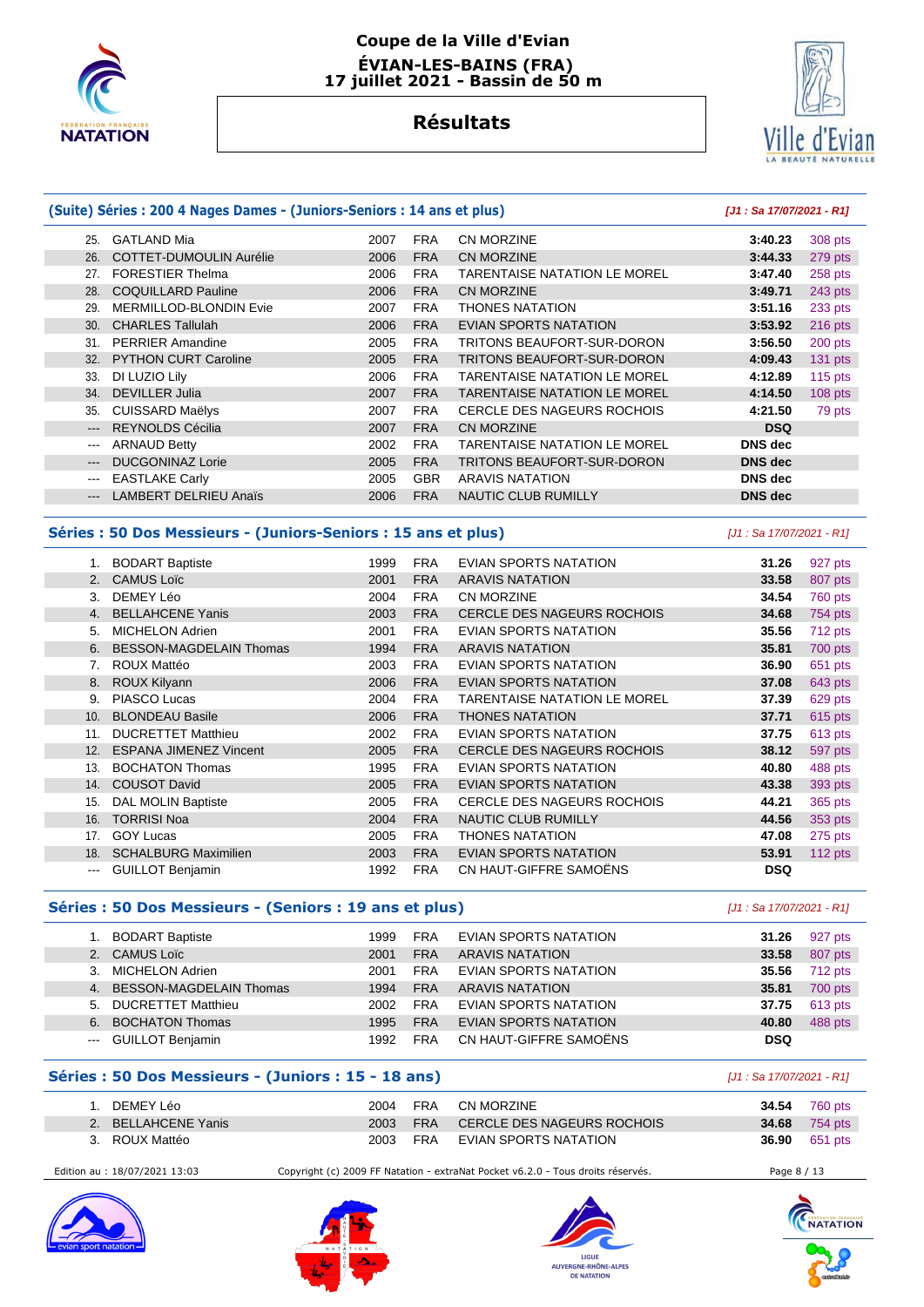

#### **Coupe de la Ville d'Evian ÉVIAN-LES-BAINS (FRA) 17 juillet 2021 - Bassin de 50 m**

# **Résultats**



#### **(Suite) Séries : 200 4 Nages Dames - (Juniors-Seniors : 14 ans et plus) [J1 : Sa 17/07/2021 - R1]** 25. GATLAND Mia 2007 FRA CN MORZINE **3:40.23** 308 pts 26. COTTET-DUMOULIN Aurélie 2006 FRA CN MORZINE **3:44.33** 279 pts 27. FORESTIER Thelma 2006 FRA TARENTAISE NATATION LE MOREL **3:47.40** 258 pts 28. COQUILLARD Pauline 2006 FRA CN MORZINE **3:49.71** 243 pts 29. MERMILLOD-BLONDIN Evie 2007 FRA THONES NATATION **3:51.16** 233 pts 30. CHARLES Tallulah 2006 FRA EVIAN SPORTS NATATION **3:53.92** 216 pts 31. PERRIER Amandine 2005 FRA TRITONS BEAUFORT-SUR-DORON **3:56.50** 200 pts 32. PYTHON CURT Caroline 2005 FRA TRITONS BEAUFORT-SUR-DORON **4:09.43** 131 pts 33. DI LUZIO Lily 2006 FRA TARENTAISE NATATION LE MOREL **4:12.89** 115 pts 34. DEVILLER Julia 2007 FRA TARENTAISE NATATION LE MOREL **4:14.50** 108 pts 35. CUISSARD Maëlys 2007 FRA CERCLE DES NAGEURS ROCHOIS **4:21.50** 79 pts --- REYNOLDS Cécilia 2007 FRA CN MORZINE **DSQ**  --- ARNAUD Betty 2002 FRA TARENTAISE NATATION LE MOREL **DNS dec**  --- DUCGONINAZ Lorie 2005 FRA TRITONS BEAUFORT-SUR-DORON **DNS dec**  EASTLAKE Carly **DISER ARAVIS NATATION DISER ARAVIS NATATION** --- LAMBERT DELRIEU Anaïs 2006 FRA NAUTIC CLUB RUMILLY **DNS dec**

#### **Séries : 50 Dos Messieurs - (Juniors-Seniors : 15 ans et plus)** [J1 : Sa 17/07/2021 - R1]

|       | <b>BODART Baptiste</b>         | 1999 | <b>FRA</b> | EVIAN SPORTS NATATION               | 31.26      | 927 pts   |
|-------|--------------------------------|------|------------|-------------------------------------|------------|-----------|
| 2.    | <b>CAMUS Loïc</b>              | 2001 | <b>FRA</b> | <b>ARAVIS NATATION</b>              | 33.58      | 807 pts   |
| 3.    | DEMEY Léo                      | 2004 | <b>FRA</b> | <b>CN MORZINE</b>                   | 34.54      | 760 pts   |
|       | <b>BELLAHCENE Yanis</b>        | 2003 | <b>FRA</b> | <b>CERCLE DES NAGEURS ROCHOIS</b>   | 34.68      | 754 pts   |
| 5.    | <b>MICHELON Adrien</b>         | 2001 | <b>FRA</b> | EVIAN SPORTS NATATION               | 35.56      | 712 pts   |
| 6.    | <b>BESSON-MAGDELAIN Thomas</b> | 1994 | <b>FRA</b> | <b>ARAVIS NATATION</b>              | 35.81      | 700 pts   |
| 7.    | ROUX Mattéo                    | 2003 | <b>FRA</b> | <b>EVIAN SPORTS NATATION</b>        | 36.90      | 651 pts   |
| 8.    | <b>ROUX Kilyann</b>            | 2006 | <b>FRA</b> | <b>EVIAN SPORTS NATATION</b>        | 37.08      | 643 pts   |
| 9.    | PIASCO Lucas                   | 2004 | <b>FRA</b> | <b>TARENTAISE NATATION LE MOREL</b> | 37.39      | 629 pts   |
| 10.   | <b>BLONDEAU Basile</b>         | 2006 | <b>FRA</b> | <b>THONES NATATION</b>              | 37.71      | 615 pts   |
| 11.   | <b>DUCRETTET Matthieu</b>      | 2002 | <b>FRA</b> | EVIAN SPORTS NATATION               | 37.75      | 613 pts   |
| 12.   | <b>ESPANA JIMENEZ Vincent</b>  | 2005 | <b>FRA</b> | <b>CERCLE DES NAGEURS ROCHOIS</b>   | 38.12      | 597 pts   |
| 13.   | <b>BOCHATON Thomas</b>         | 1995 | <b>FRA</b> | EVIAN SPORTS NATATION               | 40.80      | 488 pts   |
| 14.   | <b>COUSOT David</b>            | 2005 | <b>FRA</b> | <b>EVIAN SPORTS NATATION</b>        | 43.38      | 393 pts   |
| 15.   | DAL MOLIN Baptiste             | 2005 | <b>FRA</b> | <b>CERCLE DES NAGEURS ROCHOIS</b>   | 44.21      | 365 pts   |
| 16.   | <b>TORRISI Noa</b>             | 2004 | <b>FRA</b> | <b>NAUTIC CLUB RUMILLY</b>          | 44.56      | 353 pts   |
| 17.   | <b>GOY Lucas</b>               | 2005 | <b>FRA</b> | <b>THONES NATATION</b>              | 47.08      | 275 pts   |
| 18.   | <b>SCHALBURG Maximilien</b>    | 2003 | <b>FRA</b> | <b>EVIAN SPORTS NATATION</b>        | 53.91      | 112 $pts$ |
| $---$ | <b>GUILLOT Benjamin</b>        | 1992 | <b>FRA</b> | CN HAUT-GIFFRE SAMOËNS              | <b>DSQ</b> |           |
|       |                                |      |            |                                     |            |           |

#### **Séries : 50 Dos Messieurs - (Seniors : 19 ans et plus)** [J1 : Sa 17/07/2021 - R1]

|                      | <b>BODART Baptiste</b>     | 1999 | <b>FRA</b> | EVIAN SPORTS NATATION        | 31.26      | 927 pts |
|----------------------|----------------------------|------|------------|------------------------------|------------|---------|
|                      | 2. CAMUS Loïc              | 2001 | <b>FRA</b> | <b>ARAVIS NATATION</b>       | 33.58      | 807 pts |
|                      | 3. MICHELON Adrien         | 2001 | <b>FRA</b> | <b>EVIAN SPORTS NATATION</b> | 35.56      | 712 pts |
|                      | 4. BESSON-MAGDELAIN Thomas | 1994 | <b>FRA</b> | ARAVIS NATATION              | 35.81      | 700 pts |
|                      | 5. DUCRETTET Matthieu      | 2002 | FRA        | EVIAN SPORTS NATATION        | 37.75      | 613 pts |
|                      | 6. BOCHATON Thomas         | 1995 | <b>FRA</b> | <b>EVIAN SPORTS NATATION</b> | 40.80      | 488 pts |
| $\sim$ $\sim$ $\sim$ | GUILLOT Benjamin           | 1992 | <b>FRA</b> | CN HAUT-GIFFRE SAMOËNS       | <b>DSQ</b> |         |

#### **Séries : 50 Dos Messieurs - (Juniors : 15 - 18 ans)** [J1 : Sa 17/07/2021 - R1]

| DEMEY Léo           | 2004  | FRA        | CN MORZINE                 | <b>34.54</b> 760 pts |
|---------------------|-------|------------|----------------------------|----------------------|
| 2. BELLAHCENE Yanis | 2003  | <b>FRA</b> | CERCLE DES NAGEURS ROCHOIS | <b>34.68</b> 754 pts |
| 3. ROUX Mattéo      | 2003. | <b>FRA</b> | EVIAN SPORTS NATATION      | <b>36.90</b> 651 pts |

Edition au : 18/07/2021 13:03 Copyright (c) 2009 FF Natation - extraNat Pocket v6.2.0 - Tous droits réservés. Page 8 / 13









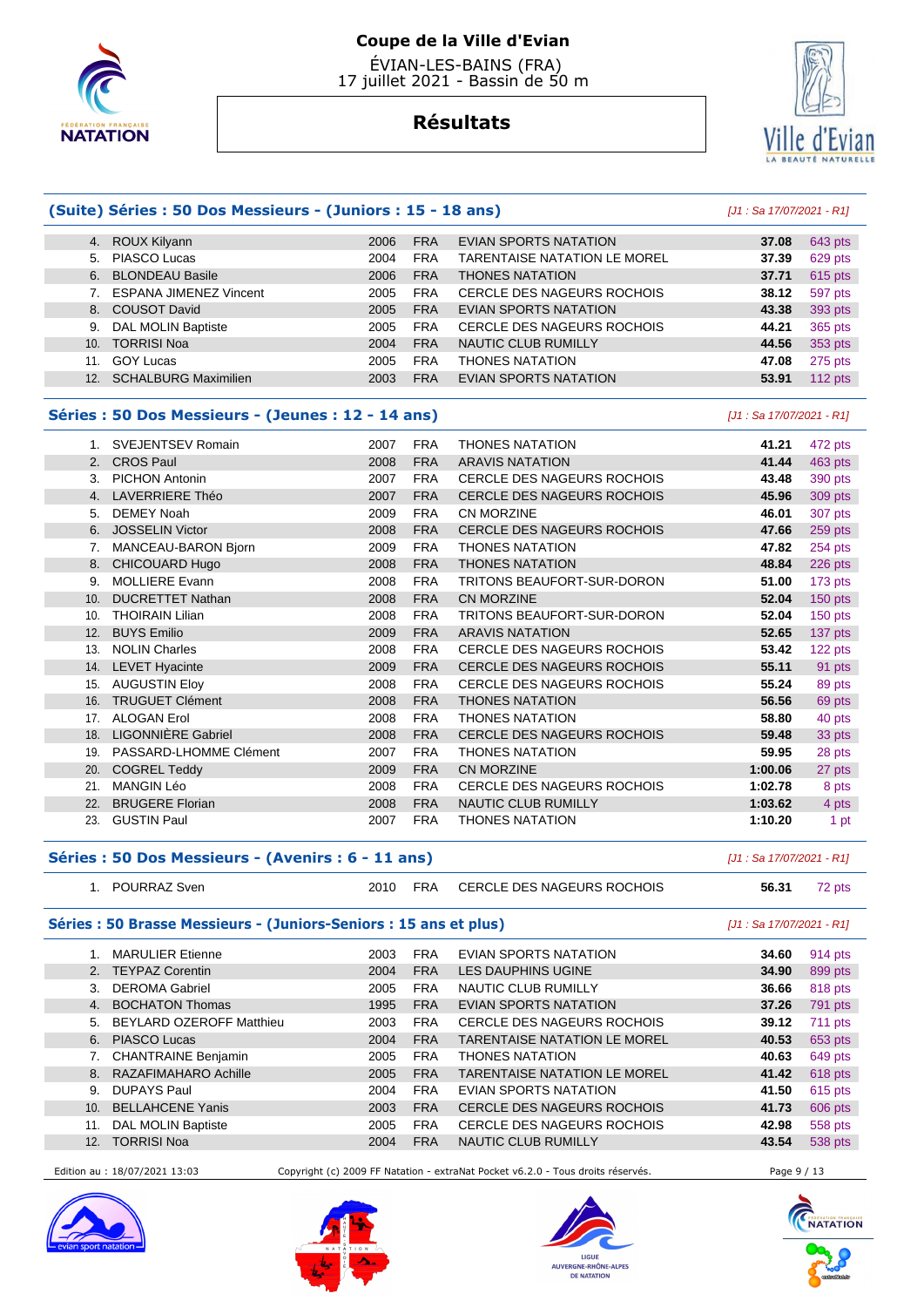

# **Résultats**



#### **(Suite) Séries : 50 Dos Messieurs - (Juniors : 15 - 18 ans)** [J1 : Sa 17/07/2021 - R1]

|                 | 4. ROUX Kilyann               | 2006 | <b>FRA</b> | EVIAN SPORTS NATATION               | 37.08 | 643 pts   |
|-----------------|-------------------------------|------|------------|-------------------------------------|-------|-----------|
|                 | 5. PIASCO Lucas               | 2004 | <b>FRA</b> | <b>TARENTAISE NATATION LE MOREL</b> | 37.39 | 629 pts   |
| 6.              | <b>BLONDEAU Basile</b>        | 2006 | <b>FRA</b> | <b>THONES NATATION</b>              | 37.71 | 615 pts   |
|                 | <b>ESPANA JIMENEZ Vincent</b> | 2005 | <b>FRA</b> | <b>CERCLE DES NAGEURS ROCHOIS</b>   | 38.12 | 597 pts   |
|                 | 8. COUSOT David               | 2005 | <b>FRA</b> | EVIAN SPORTS NATATION               | 43.38 | 393 pts   |
| 9.              | <b>DAL MOLIN Baptiste</b>     | 2005 | <b>FRA</b> | CERCLE DES NAGEURS ROCHOIS          | 44.21 | 365 pts   |
| 10.             | <b>TORRISI Noa</b>            | 2004 | <b>FRA</b> | <b>NAUTIC CLUB RUMILLY</b>          | 44.56 | 353 pts   |
| 11.             | <b>GOY Lucas</b>              | 2005 | <b>FRA</b> | <b>THONES NATATION</b>              | 47.08 | 275 pts   |
| 12 <sup>2</sup> | <b>SCHALBURG Maximilien</b>   | 2003 | <b>FRA</b> | EVIAN SPORTS NATATION               | 53.91 | 112 $pts$ |
|                 |                               |      |            |                                     |       |           |

#### **Séries : 50 Dos Messieurs - (Jeunes : 12 - 14 ans)** [J1 : Sa 17/07/2021 - R1]

|     | SVEJENTSEV Romain         | 2007 | <b>FRA</b> | THONES NATATION                   | 41.21   | 472 pts   |
|-----|---------------------------|------|------------|-----------------------------------|---------|-----------|
|     | 2. CROS Paul              | 2008 | <b>FRA</b> | <b>ARAVIS NATATION</b>            | 41.44   | 463 pts   |
| 3.  | <b>PICHON Antonin</b>     | 2007 | <b>FRA</b> | <b>CERCLE DES NAGEURS ROCHOIS</b> | 43.48   | 390 pts   |
| 4.  | <b>LAVERRIERE Théo</b>    | 2007 | <b>FRA</b> | <b>CERCLE DES NAGEURS ROCHOIS</b> | 45.96   | 309 pts   |
| 5.  | <b>DEMEY Noah</b>         | 2009 | <b>FRA</b> | <b>CN MORZINE</b>                 | 46.01   | 307 pts   |
| 6.  | <b>JOSSELIN Victor</b>    | 2008 | <b>FRA</b> | CERCLE DES NAGEURS ROCHOIS        | 47.66   | 259 pts   |
| 7.  | MANCEAU-BARON Bjorn       | 2009 | <b>FRA</b> | THONES NATATION                   | 47.82   | 254 pts   |
| 8.  | CHICOUARD Hugo            | 2008 | <b>FRA</b> | <b>THONES NATATION</b>            | 48.84   | 226 pts   |
| 9.  | <b>MOLLIERE Evann</b>     | 2008 | <b>FRA</b> | TRITONS BEAUFORT-SUR-DORON        | 51.00   | 173 pts   |
| 10. | <b>DUCRETTET Nathan</b>   | 2008 | <b>FRA</b> | CN MORZINE                        | 52.04   | $150$ pts |
| 10. | <b>THOIRAIN Lilian</b>    | 2008 | <b>FRA</b> | TRITONS BEAUFORT-SUR-DORON        | 52.04   | 150 pts   |
| 12. | <b>BUYS Emilio</b>        | 2009 | <b>FRA</b> | <b>ARAVIS NATATION</b>            | 52.65   | 137 pts   |
| 13. | <b>NOLIN Charles</b>      | 2008 | <b>FRA</b> | <b>CERCLE DES NAGEURS ROCHOIS</b> | 53.42   | 122 pts   |
| 14. | <b>LEVET Hyacinte</b>     | 2009 | <b>FRA</b> | <b>CERCLE DES NAGEURS ROCHOIS</b> | 55.11   | 91 pts    |
| 15. | <b>AUGUSTIN Eloy</b>      | 2008 | <b>FRA</b> | <b>CERCLE DES NAGEURS ROCHOIS</b> | 55.24   | 89 pts    |
| 16. | <b>TRUGUET Clément</b>    | 2008 | <b>FRA</b> | <b>THONES NATATION</b>            | 56.56   | 69 pts    |
| 17. | <b>ALOGAN Erol</b>        | 2008 | <b>FRA</b> | <b>THONES NATATION</b>            | 58.80   | 40 pts    |
| 18. | <b>LIGONNIÈRE Gabriel</b> | 2008 | <b>FRA</b> | <b>CERCLE DES NAGEURS ROCHOIS</b> | 59.48   | 33 pts    |
| 19. | PASSARD-LHOMME Clément    | 2007 | <b>FRA</b> | <b>THONES NATATION</b>            | 59.95   | 28 pts    |
| 20. | <b>COGREL Teddy</b>       | 2009 | <b>FRA</b> | CN MORZINE                        | 1:00.06 | 27 pts    |
| 21. | <b>MANGIN Léo</b>         | 2008 | <b>FRA</b> | CERCLE DES NAGEURS ROCHOIS        | 1:02.78 | 8 pts     |
| 22. | <b>BRUGERE Florian</b>    | 2008 | <b>FRA</b> | <b>NAUTIC CLUB RUMILLY</b>        | 1:03.62 | 4 pts     |
| 23. | <b>GUSTIN Paul</b>        | 2007 | <b>FRA</b> | THONES NATATION                   | 1:10.20 | 1 pt      |

#### **Séries : 50 Dos Messieurs - (Avenirs : 6 - 11 ans)** [J1 : Sa 17/07/2021 - R1]

| POURRAZ Sven | 2010 | <b>FRA</b> | CERCLE DES NAGEURS ROCHOIS | 56.31 | 72 pts |
|--------------|------|------------|----------------------------|-------|--------|
|              |      |            |                            |       |        |

#### **Séries : 50 Brasse Messieurs - (Juniors-Seniors : 15 ans et plus)** [J1 : Sa 17/07/2021 - R1]

|                  | <b>MARULIER Etienne</b>  | 2003 | <b>FRA</b> | EVIAN SPORTS NATATION               | 34.60 | 914 pts        |
|------------------|--------------------------|------|------------|-------------------------------------|-------|----------------|
|                  | 2. TEYPAZ Corentin       | 2004 | <b>FRA</b> | LES DAUPHINS UGINE                  | 34.90 | 899 pts        |
| 3.               | <b>DEROMA Gabriel</b>    | 2005 | <b>FRA</b> | NAUTIC CLUB RUMILLY                 | 36.66 | 818 pts        |
| $\overline{4}$ . | <b>BOCHATON Thomas</b>   | 1995 | <b>FRA</b> | EVIAN SPORTS NATATION               | 37.26 | 791 pts        |
| 5.               | BEYLARD OZEROFF Matthieu | 2003 | <b>FRA</b> | <b>CERCLE DES NAGEURS ROCHOIS</b>   | 39.12 | <b>711 pts</b> |
|                  | 6. PIASCO Lucas          | 2004 | <b>FRA</b> | <b>TARENTAISE NATATION LE MOREL</b> | 40.53 | 653 pts        |
|                  | 7. CHANTRAINE Benjamin   | 2005 | <b>FRA</b> | <b>THONES NATATION</b>              | 40.63 | 649 pts        |
|                  | 8. RAZAFIMAHARO Achille  | 2005 | <b>FRA</b> | <b>TARENTAISE NATATION LE MOREL</b> | 41.42 | 618 pts        |
| 9.               | DUPAYS Paul              | 2004 | <b>FRA</b> | EVIAN SPORTS NATATION               | 41.50 | 615 pts        |
| 10.              | <b>BELLAHCENE Yanis</b>  | 2003 | <b>FRA</b> | <b>CERCLE DES NAGEURS ROCHOIS</b>   | 41.73 | 606 pts        |
| 11.              | DAL MOLIN Baptiste       | 2005 | <b>FRA</b> | <b>CERCLE DES NAGEURS ROCHOIS</b>   | 42.98 | 558 pts        |
| 12.              | <b>TORRISI Noa</b>       | 2004 | <b>FRA</b> | <b>NAUTIC CLUB RUMILLY</b>          | 43.54 | 538 pts        |
|                  |                          |      |            |                                     |       |                |

Edition au : 18/07/2021 13:03 Copyright (c) 2009 FF Natation - extraNat Pocket v6.2.0 - Tous droits réservés. Page 9 / 13









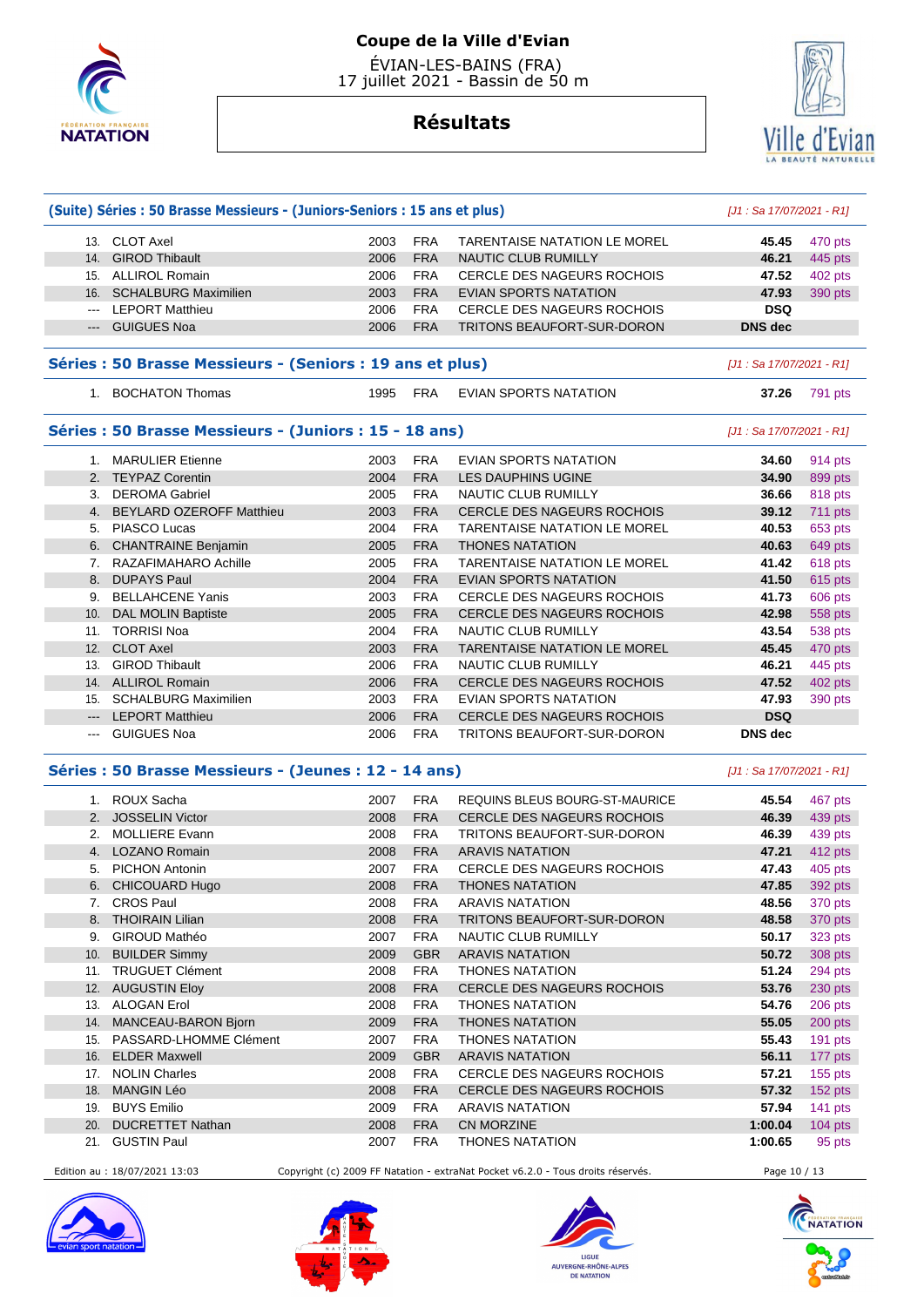

# **Résultats**



|          | (Suite) Séries : 50 Brasse Messieurs - (Juniors-Seniors : 15 ans et plus) | [J1 : Sa 17/07/2021 - R1] |            |                                     |                            |                |
|----------|---------------------------------------------------------------------------|---------------------------|------------|-------------------------------------|----------------------------|----------------|
|          | 13. CLOT Axel                                                             | 2003                      | <b>FRA</b> | <b>TARENTAISE NATATION LE MOREL</b> | 45.45                      | 470 pts        |
|          | 14. GIROD Thibault                                                        | 2006                      | <b>FRA</b> | <b>NAUTIC CLUB RUMILLY</b>          | 46.21                      | 445 pts        |
|          | 15. ALLIROL Romain                                                        | 2006                      | <b>FRA</b> | CERCLE DES NAGEURS ROCHOIS          | 47.52                      | 402 pts        |
|          | 16. SCHALBURG Maximilien                                                  | 2003                      | <b>FRA</b> | EVIAN SPORTS NATATION               | 47.93                      | 390 pts        |
|          | --- LEPORT Matthieu                                                       | 2006                      | <b>FRA</b> | <b>CERCLE DES NAGEURS ROCHOIS</b>   | <b>DSQ</b>                 |                |
|          | --- GUIGUES Noa                                                           | 2006                      | <b>FRA</b> | TRITONS BEAUFORT-SUR-DORON          | <b>DNS</b> dec             |                |
|          |                                                                           |                           |            |                                     |                            |                |
|          | Séries : 50 Brasse Messieurs - (Seniors : 19 ans et plus)                 |                           |            |                                     | [J1 : Sa 17/07/2021 - R1]  |                |
|          | 1. BOCHATON Thomas                                                        | 1995                      | <b>FRA</b> | <b>EVIAN SPORTS NATATION</b>        | 37.26                      | 791 pts        |
|          | Séries : 50 Brasse Messieurs - (Juniors : 15 - 18 ans)                    |                           |            |                                     | [J1 : Sa 17/07/2021 - R1]  |                |
|          | 1. MARULIER Etienne                                                       | 2003                      | <b>FRA</b> | EVIAN SPORTS NATATION               | 34.60                      | 914 pts        |
|          | 2. TEYPAZ Corentin                                                        | 2004                      | <b>FRA</b> | LES DAUPHINS UGINE                  | 34.90                      | 899 pts        |
|          | 3. DEROMA Gabriel                                                         | 2005                      | <b>FRA</b> | NAUTIC CLUB RUMILLY                 | 36.66                      | 818 pts        |
| 4.       | <b>BEYLARD OZEROFF Matthieu</b>                                           | 2003                      | <b>FRA</b> | <b>CERCLE DES NAGEURS ROCHOIS</b>   | 39.12                      | 711 pts        |
|          | 5. PIASCO Lucas                                                           | 2004                      | <b>FRA</b> | <b>TARENTAISE NATATION LE MOREL</b> | 40.53                      | 653 pts        |
|          | 6. CHANTRAINE Benjamin                                                    | 2005                      | <b>FRA</b> | <b>THONES NATATION</b>              | 40.63                      | 649 pts        |
|          | 7. RAZAFIMAHARO Achille                                                   | 2005                      | <b>FRA</b> | <b>TARENTAISE NATATION LE MOREL</b> | 41.42                      | 618 pts        |
|          | 8. DUPAYS Paul                                                            | 2004                      | <b>FRA</b> | <b>EVIAN SPORTS NATATION</b>        | 41.50                      | 615 pts        |
| 9.       | <b>BELLAHCENE Yanis</b>                                                   | 2003                      | <b>FRA</b> | CERCLE DES NAGEURS ROCHOIS          | 41.73                      | 606 pts        |
| 10.      | <b>DAL MOLIN Baptiste</b>                                                 | 2005                      | <b>FRA</b> | <b>CERCLE DES NAGEURS ROCHOIS</b>   | 42.98                      | 558 pts        |
|          | 11. TORRISI Noa                                                           | 2004                      | <b>FRA</b> | <b>NAUTIC CLUB RUMILLY</b>          | 43.54                      | 538 pts        |
|          | 12. CLOT Axel                                                             | 2003                      | <b>FRA</b> | <b>TARENTAISE NATATION LE MOREL</b> | 45.45                      | 470 pts        |
|          | 13. GIROD Thibault                                                        | 2006                      | <b>FRA</b> | NAUTIC CLUB RUMILLY                 | 46.21                      | 445 pts        |
|          | 14. ALLIROL Romain                                                        | 2006                      | <b>FRA</b> | <b>CERCLE DES NAGEURS ROCHOIS</b>   | 47.52                      | 402 pts        |
|          | 15. SCHALBURG Maximilien                                                  | 2003                      | <b>FRA</b> | EVIAN SPORTS NATATION               | 47.93                      | 390 pts        |
|          | --- LEPORT Matthieu                                                       | 2006                      | <b>FRA</b> | <b>CERCLE DES NAGEURS ROCHOIS</b>   | <b>DSQ</b>                 |                |
| $\cdots$ | <b>GUIGUES Noa</b>                                                        | 2006                      | <b>FRA</b> | TRITONS BEAUFORT-SUR-DORON          | <b>DNS</b> dec             |                |
|          | Séries : 50 Brasse Messieurs - (Jeunes : 12 - 14 ans)                     |                           |            |                                     | $[J1: Sa 17/07/2021 - R1]$ |                |
|          | 1. ROUX Sacha                                                             | 2007                      | <b>FRA</b> | REQUINS BLEUS BOURG-ST-MAURICE      | 45.54                      | 467 pts        |
|          | 2. JOSSELIN Victor                                                        | 2008                      | <b>FRA</b> | <b>CERCLE DES NAGEURS ROCHOIS</b>   | 46.39                      | 439 pts        |
|          | 2. MOLLIERE Evann                                                         | 2008                      | <b>FRA</b> | TRITONS BEAUFORT-SUR-DORON          | 46.39                      | 439 pts        |
|          | 4. LOZANO Romain                                                          | 2008                      | <b>FRA</b> | <b>ARAVIS NATATION</b>              | 47.21                      | 412 pts        |
|          | 5. PICHON Antonin                                                         | 2007                      | <b>FRA</b> | <b>CERCLE DES NAGEURS ROCHOIS</b>   | 47.43                      | 405 pts        |
|          | 6. CHICOUARD Hugo                                                         | 2008                      | <b>FRA</b> | <b>THONES NATATION</b>              | 47.85                      | 392 pts        |
| 7.       | <b>CROS Paul</b>                                                          | 2008                      | <b>FRA</b> | <b>ARAVIS NATATION</b>              | 48.56                      | 370 pts        |
| 8.       | <b>THOIRAIN Lilian</b>                                                    | 2008                      | <b>FRA</b> | TRITONS BEAUFORT-SUR-DORON          | 48.58                      | 370 pts        |
| 9.       | GIROUD Mathéo                                                             | 2007                      | <b>FRA</b> | NAUTIC CLUB RUMILLY                 | 50.17                      | 323 pts        |
| 10.      | <b>BUILDER Simmy</b>                                                      | 2009                      | <b>GBR</b> | <b>ARAVIS NATATION</b>              | 50.72                      | 308 pts        |
|          | 11. TRUGUET Clément                                                       | 2008                      | <b>FRA</b> | <b>THONES NATATION</b>              | 51.24                      | 294 pts        |
|          | 12. AUGUSTIN Eloy                                                         | 2008                      | <b>FRA</b> | CERCLE DES NAGEURS ROCHOIS          | 53.76                      | 230 pts        |
| 13.      | <b>ALOGAN Erol</b>                                                        | 2008                      | <b>FRA</b> | <b>THONES NATATION</b>              | 54.76                      | 206 pts        |
| 14.      | MANCEAU-BARON Bjorn                                                       | 2009                      | <b>FRA</b> | <b>THONES NATATION</b>              | 55.05                      | 200 pts        |
|          | 15. PASSARD-LHOMME Clément                                                | 2007                      | <b>FRA</b> | <b>THONES NATATION</b>              | 55.43                      | 191 pts        |
| 16.      | <b>ELDER Maxwell</b>                                                      | 2009                      | <b>GBR</b> | <b>ARAVIS NATATION</b>              | 56.11                      | 177 pts        |
|          | 17. NOLIN Charles                                                         | 2008                      | <b>FRA</b> | <b>CERCLE DES NAGEURS ROCHOIS</b>   | 57.21                      | <b>155 pts</b> |
| 18.      | <b>MANGIN Léo</b>                                                         | 2008                      | <b>FRA</b> | CERCLE DES NAGEURS ROCHOIS          | 57.32                      | 152 pts        |
| 19.      | <b>BUYS Emilio</b>                                                        | 2009                      | <b>FRA</b> | <b>ARAVIS NATATION</b>              | 57.94                      | 141 $pts$      |
| 20.      | <b>DUCRETTET Nathan</b>                                                   | 2008                      | <b>FRA</b> | <b>CN MORZINE</b>                   | 1:00.04                    | $104$ pts      |
| 21.      | <b>GUSTIN Paul</b>                                                        | 2007                      | <b>FRA</b> | <b>THONES NATATION</b>              | 1:00.65                    | 95 pts         |

Edition au : 18/07/2021 13:03 Copyright (c) 2009 FF Natation - extraNat Pocket v6.2.0 - Tous droits réservés. Page 10 / 13







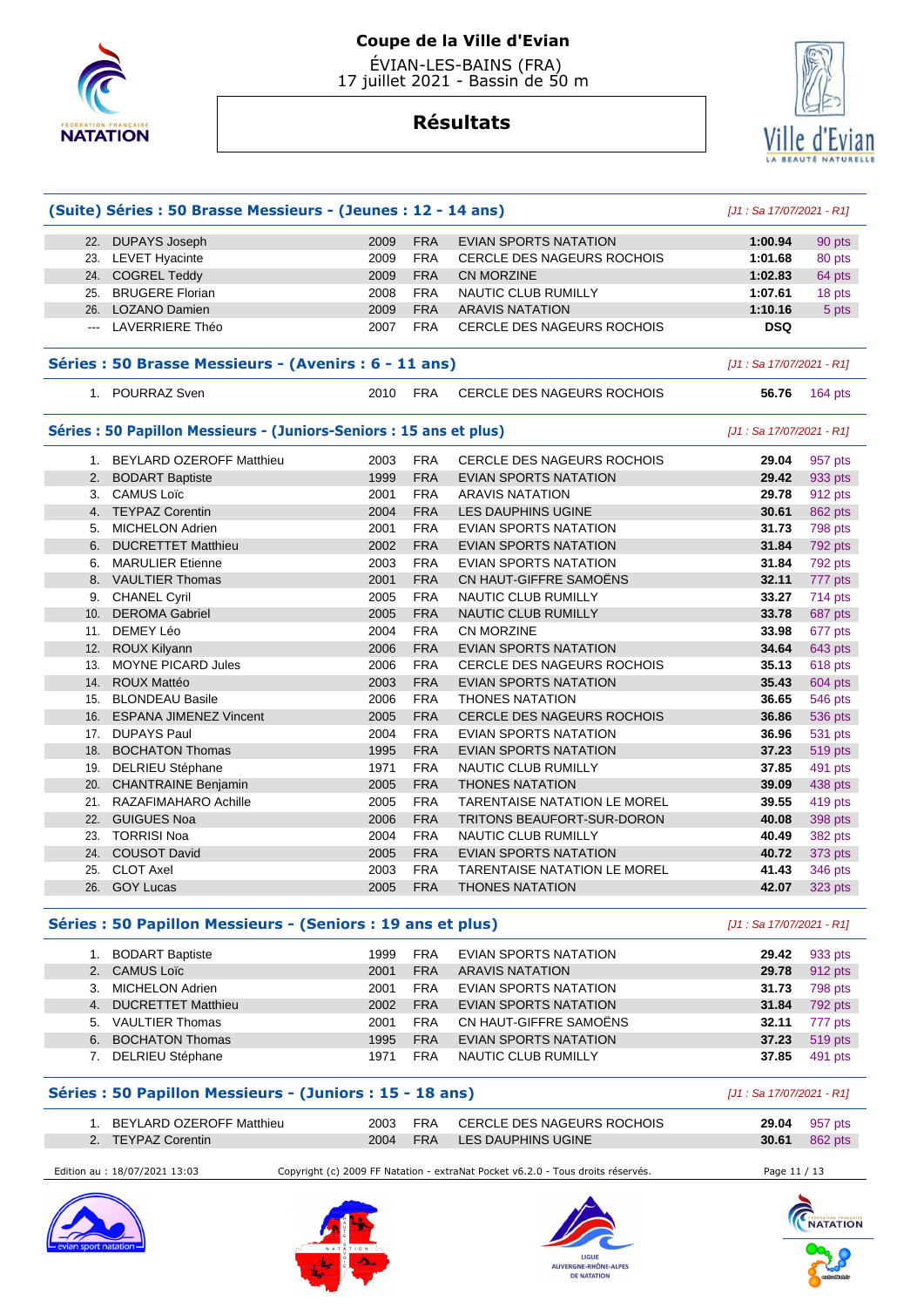

# Ville d'Evian

# **Résultats**

|               | (Suite) Séries : 50 Brasse Messieurs - (Jeunes : 12 - 14 ans)       |              |                   |                                                        | $[J1: Sa 17/07/2021 - R1]$ |                    |
|---------------|---------------------------------------------------------------------|--------------|-------------------|--------------------------------------------------------|----------------------------|--------------------|
|               | 22. DUPAYS Joseph                                                   | 2009         | <b>FRA</b>        | EVIAN SPORTS NATATION                                  | 1:00.94                    | 90 pts             |
|               | 23. LEVET Hyacinte                                                  | 2009         | <b>FRA</b>        | CERCLE DES NAGEURS ROCHOIS                             | 1:01.68                    | 80 pts             |
|               | 24. COGREL Teddy                                                    | 2009         | <b>FRA</b>        | <b>CN MORZINE</b>                                      | 1:02.83                    | 64 pts             |
|               | 25. BRUGERE Florian                                                 | 2008         | <b>FRA</b>        | NAUTIC CLUB RUMILLY                                    | 1:07.61                    | 18 pts             |
|               | 26. LOZANO Damien                                                   | 2009         | <b>FRA</b>        | <b>ARAVIS NATATION</b>                                 | 1:10.16                    | 5 pts              |
| $\sim$ $\sim$ | LAVERRIERE Théo                                                     | 2007         | FRA               | CERCLE DES NAGEURS ROCHOIS                             | <b>DSQ</b>                 |                    |
|               | Séries : 50 Brasse Messieurs - (Avenirs : 6 - 11 ans)               |              |                   |                                                        | [J1 : Sa 17/07/2021 - R1]  |                    |
|               | 1. POURRAZ Sven                                                     | 2010         | FRA               | CERCLE DES NAGEURS ROCHOIS                             | 56.76                      | 164 pts            |
|               | Séries : 50 Papillon Messieurs - (Juniors-Seniors : 15 ans et plus) |              |                   |                                                        | [J1 : Sa 17/07/2021 - R1]  |                    |
|               | 1. BEYLARD OZEROFF Matthieu                                         | 2003         | <b>FRA</b>        | CERCLE DES NAGEURS ROCHOIS                             | 29.04                      | 957 pts            |
|               | 2. BODART Baptiste                                                  | 1999         | <b>FRA</b>        | EVIAN SPORTS NATATION                                  | 29.42                      | 933 pts            |
|               | 3. CAMUS Loïc                                                       | 2001         | <b>FRA</b>        | <b>ARAVIS NATATION</b>                                 | 29.78                      | 912 pts            |
|               | 4. TEYPAZ Corentin                                                  | 2004         | <b>FRA</b>        | <b>LES DAUPHINS UGINE</b>                              | 30.61                      | 862 pts            |
| 5.            | <b>MICHELON Adrien</b>                                              | 2001         | <b>FRA</b>        | <b>EVIAN SPORTS NATATION</b>                           | 31.73                      | 798 pts            |
|               | 6. DUCRETTET Matthieu                                               | 2002         | <b>FRA</b>        | <b>EVIAN SPORTS NATATION</b>                           | 31.84                      | 792 pts            |
|               | 6. MARULIER Etienne                                                 | 2003         | <b>FRA</b>        | EVIAN SPORTS NATATION                                  | 31.84                      | 792 pts            |
|               | 8. VAULTIER Thomas                                                  | 2001         | <b>FRA</b>        | CN HAUT-GIFFRE SAMOËNS                                 | 32.11                      | 777 pts            |
| 9.            | <b>CHANEL Cyril</b>                                                 | 2005         | <b>FRA</b>        | NAUTIC CLUB RUMILLY                                    | 33.27                      | 714 pts            |
| 10.           | <b>DEROMA Gabriel</b>                                               | 2005         | <b>FRA</b>        | <b>NAUTIC CLUB RUMILLY</b>                             | 33.78                      | 687 pts            |
| 11.           | DEMEY Léo                                                           | 2004         | <b>FRA</b>        | CN MORZINE                                             | 33.98                      | 677 pts            |
|               | 12. ROUX Kilyann                                                    | 2006         | <b>FRA</b>        | <b>EVIAN SPORTS NATATION</b>                           | 34.64                      | 643 pts            |
|               | 13. MOYNE PICARD Jules                                              | 2006         | <b>FRA</b>        | CERCLE DES NAGEURS ROCHOIS                             | 35.13                      | 618 pts            |
| 14.           | <b>ROUX Mattéo</b>                                                  | 2003         | <b>FRA</b>        | EVIAN SPORTS NATATION                                  | 35.43                      | 604 pts            |
| 15.           | <b>BLONDEAU Basile</b>                                              | 2006         | <b>FRA</b>        | <b>THONES NATATION</b>                                 | 36.65                      | 546 pts            |
| 16.           | <b>ESPANA JIMENEZ Vincent</b>                                       | 2005         | <b>FRA</b>        | <b>CERCLE DES NAGEURS ROCHOIS</b>                      | 36.86                      | 536 pts            |
| 17.           | <b>DUPAYS Paul</b>                                                  | 2004         | <b>FRA</b>        | EVIAN SPORTS NATATION                                  | 36.96                      | 531 pts            |
| 18.           | <b>BOCHATON Thomas</b>                                              | 1995         | <b>FRA</b>        | EVIAN SPORTS NATATION                                  | 37.23                      | 519 pts            |
|               | 19. DELRIEU Stéphane                                                | 1971         | <b>FRA</b>        | NAUTIC CLUB RUMILLY                                    | 37.85                      | 491 pts            |
| 20.           | <b>CHANTRAINE Benjamin</b>                                          | 2005         | <b>FRA</b>        | <b>THONES NATATION</b>                                 | 39.09                      | 438 pts            |
| 21.           | RAZAFIMAHARO Achille                                                | 2005         | <b>FRA</b>        | <b>TARENTAISE NATATION LE MOREL</b>                    | 39.55                      | 419 pts            |
| 22.           | <b>GUIGUES Noa</b>                                                  | 2006         | <b>FRA</b>        | TRITONS BEAUFORT-SUR-DORON                             | 40.08                      |                    |
|               | <b>TORRISI Noa</b>                                                  | 2004         | <b>FRA</b>        |                                                        |                            | 398 pts            |
| 23.           | 24. COUSOT David                                                    | 2005         | <b>FRA</b>        | NAUTIC CLUB RUMILLY<br><b>EVIAN SPORTS NATATION</b>    | 40.49                      | 382 pts            |
|               |                                                                     |              |                   |                                                        | 40.72                      | 373 pts            |
|               | 25. CLOT Axel<br>26. GOY Lucas                                      | 2003<br>2005 | <b>FRA</b><br>FRA | <b>TARENTAISE NATATION LE MOREL</b><br>THONES NATATION | 41.43<br>42.07             | 346 pts<br>323 pts |
|               | Séries : 50 Papillon Messieurs - (Seniors : 19 ans et plus)         |              |                   |                                                        | [J1 : Sa 17/07/2021 - R1]  |                    |
|               | 1. BODART Baptiste                                                  | 1999         | <b>FRA</b>        | EVIAN SPORTS NATATION                                  | 29.42                      | 933 pts            |
|               | 2. CAMUS Loïc                                                       | 2001         | <b>FRA</b>        | <b>ARAVIS NATATION</b>                                 | 29.78                      | 912 pts            |
|               | 3. MICHELON Adrien                                                  | 2001         | <b>FRA</b>        | EVIAN SPORTS NATATION                                  | 31.73                      | 798 pts            |
|               | 4. DUCRETTET Matthieu                                               | 2002         | <b>FRA</b>        | EVIAN SPORTS NATATION                                  | 31.84                      | 792 pts            |
|               | 5. VAULTIER Thomas                                                  | 2001         | <b>FRA</b>        | CN HAUT-GIFFRE SAMOËNS                                 | 32.11                      | 777 pts            |
|               | 6. BOCHATON Thomas                                                  | 1995         | <b>FRA</b>        | EVIAN SPORTS NATATION                                  | 37.23                      | 519 pts            |
|               |                                                                     |              |                   |                                                        |                            |                    |

#### **Séries : 50 Papillon Messieurs - (Juniors : 15 - 18 ans)** [J1 : Sa 17/07/2021 - R1]

| BEYLARD OZEROFF Matthieu | 2003 FRA | CERCLE DES NAGEURS ROCHOIS  | 29.04 | 957 pts |
|--------------------------|----------|-----------------------------|-------|---------|
| 2. TEYPAZ Corentin       |          | 2004 FRA LES DAUPHINS UGINE | 30.61 | 862 pts |

Edition au : 18/07/2021 13:03 Copyright (c) 2009 FF Natation - extraNat Pocket v6.2.0 - Tous droits réservés. Page 11 / 13









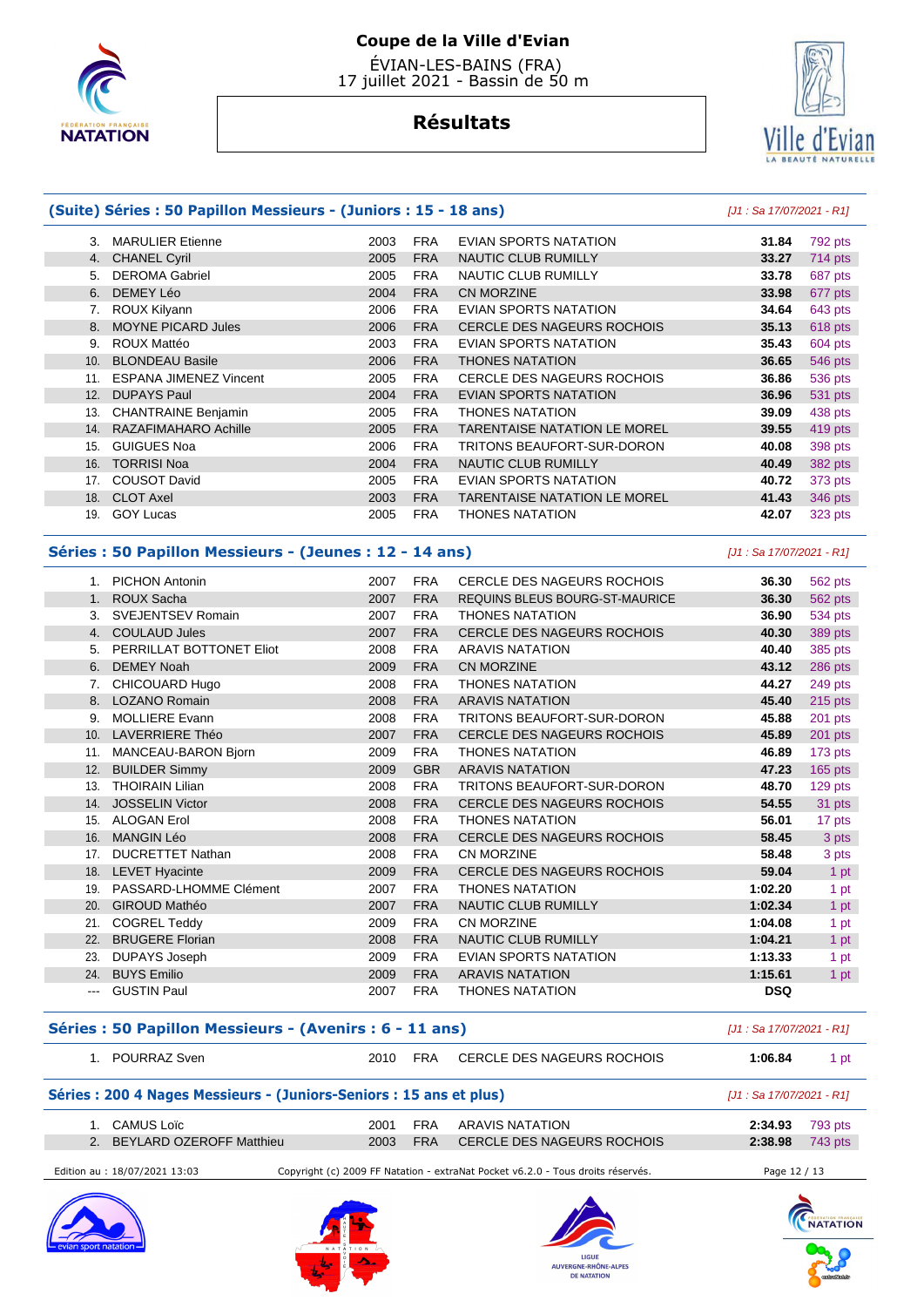

# **Coupe de la Ville d'Evian**

 ÉVIAN-LES-BAINS (FRA) 17 juillet 2021 - Bassin de 50 m

# Ville c Evian

# **Résultats**

|     | (Suite) Séries : 50 Papillon Messieurs - (Juniors : 15 - 18 ans) |      |            |                                     | [J1 : Sa 17/07/2021 - R1] |           |
|-----|------------------------------------------------------------------|------|------------|-------------------------------------|---------------------------|-----------|
|     | 3. MARULIER Etienne                                              | 2003 | <b>FRA</b> | EVIAN SPORTS NATATION               | 31.84                     | 792 pts   |
|     | 4. CHANEL Cyril                                                  | 2005 | <b>FRA</b> | <b>NAUTIC CLUB RUMILLY</b>          | 33.27                     | 714 pts   |
|     | 5. DEROMA Gabriel                                                | 2005 | <b>FRA</b> | NAUTIC CLUB RUMILLY                 | 33.78                     | 687 pts   |
| 6.  | DEMEY Léo                                                        | 2004 | <b>FRA</b> | CN MORZINE                          | 33.98                     | 677 pts   |
|     | 7. ROUX Kilyann                                                  | 2006 | <b>FRA</b> | <b>EVIAN SPORTS NATATION</b>        | 34.64                     | 643 pts   |
| 8.  | <b>MOYNE PICARD Jules</b>                                        | 2006 | <b>FRA</b> | <b>CERCLE DES NAGEURS ROCHOIS</b>   | 35.13                     | 618 pts   |
| 9.  | ROUX Mattéo                                                      | 2003 | <b>FRA</b> | <b>EVIAN SPORTS NATATION</b>        | 35.43                     | 604 pts   |
| 10. | <b>BLONDEAU Basile</b>                                           | 2006 | <b>FRA</b> | <b>THONES NATATION</b>              | 36.65                     | 546 pts   |
|     | 11. ESPANA JIMENEZ Vincent                                       | 2005 | <b>FRA</b> | CERCLE DES NAGEURS ROCHOIS          | 36.86                     | 536 pts   |
| 12. | <b>DUPAYS Paul</b>                                               | 2004 | <b>FRA</b> | EVIAN SPORTS NATATION               | 36.96                     | 531 pts   |
| 13. | <b>CHANTRAINE Benjamin</b>                                       | 2005 | <b>FRA</b> | <b>THONES NATATION</b>              | 39.09                     | 438 pts   |
|     | 14. RAZAFIMAHARO Achille                                         | 2005 | <b>FRA</b> | <b>TARENTAISE NATATION LE MOREL</b> | 39.55                     | 419 pts   |
| 15. | <b>GUIGUES Noa</b>                                               | 2006 | <b>FRA</b> | TRITONS BEAUFORT-SUR-DORON          | 40.08                     | 398 pts   |
| 16. | <b>TORRISI Noa</b>                                               | 2004 | <b>FRA</b> | <b>NAUTIC CLUB RUMILLY</b>          | 40.49                     | 382 pts   |
|     | 17. COUSOT David                                                 | 2005 | <b>FRA</b> | EVIAN SPORTS NATATION               | 40.72                     | 373 pts   |
| 18. | <b>CLOT Axel</b>                                                 | 2003 | <b>FRA</b> | <b>TARENTAISE NATATION LE MOREL</b> | 41.43                     | 346 pts   |
| 19. | <b>GOY Lucas</b>                                                 | 2005 | <b>FRA</b> | <b>THONES NATATION</b>              | 42.07                     | 323 pts   |
|     | Séries : 50 Papillon Messieurs - (Jeunes : 12 - 14 ans)          |      |            |                                     | [J1 : Sa 17/07/2021 - R1] |           |
|     | 1. PICHON Antonin                                                | 2007 | <b>FRA</b> | CERCLE DES NAGEURS ROCHOIS          | 36.30                     | 562 pts   |
| 1.  | <b>ROUX Sacha</b>                                                | 2007 | <b>FRA</b> | REQUINS BLEUS BOURG-ST-MAURICE      | 36.30                     | 562 pts   |
|     | 3. SVEJENTSEV Romain                                             | 2007 | <b>FRA</b> | <b>THONES NATATION</b>              | 36.90                     | 534 pts   |
| 4.  | <b>COULAUD Jules</b>                                             | 2007 | <b>FRA</b> | <b>CERCLE DES NAGEURS ROCHOIS</b>   | 40.30                     | 389 pts   |
|     | 5. PERRILLAT BOTTONET Eliot                                      | 2008 | <b>FRA</b> | <b>ARAVIS NATATION</b>              | 40.40                     | 385 pts   |
| 6.  | <b>DEMEY Noah</b>                                                | 2009 | <b>FRA</b> | <b>CN MORZINE</b>                   | 43.12                     | 286 pts   |
| 7.  | CHICOUARD Hugo                                                   | 2008 | <b>FRA</b> | <b>THONES NATATION</b>              | 44.27                     | 249 pts   |
| 8.  | LOZANO Romain                                                    | 2008 | <b>FRA</b> | <b>ARAVIS NATATION</b>              | 45.40                     | 215 pts   |
|     | 9. MOLLIERE Evann                                                | 2008 | <b>FRA</b> | TRITONS BEAUFORT-SUR-DORON          | 45.88                     | 201 pts   |
| 10. | <b>LAVERRIERE Théo</b>                                           | 2007 | <b>FRA</b> | <b>CERCLE DES NAGEURS ROCHOIS</b>   | 45.89                     | 201 pts   |
|     | 11. MANCEAU-BARON Bjorn                                          | 2009 | <b>FRA</b> | <b>THONES NATATION</b>              | 46.89                     | 173 pts   |
| 12. | <b>BUILDER Simmy</b>                                             | 2009 | <b>GBR</b> | <b>ARAVIS NATATION</b>              | 47.23                     | $165$ pts |
|     | 13. THOIRAIN Lilian                                              | 2008 | <b>FRA</b> | TRITONS BEAUFORT-SUR-DORON          | 48.70                     | 129 pts   |
|     | 14. JOSSELIN Victor                                              | 2008 | <b>FRA</b> | CERCLE DES NAGEURS ROCHOIS          | 54.55                     | 31 pts    |
|     | 15. ALOGAN Erol                                                  | 2008 | <b>FRA</b> | <b>THONES NATATION</b>              | 56.01                     | 17 pts    |
|     | 16. MANGIN Léo                                                   | 2008 | <b>FRA</b> | <b>CERCLE DES NAGEURS ROCHOIS</b>   | 58.45                     | 3 pts     |
|     | 17. DUCRETTET Nathan                                             | 2008 | <b>FRA</b> | CN MORZINE                          | 58.48                     | 3 pts     |
|     | 18. LEVET Hyacinte                                               | 2009 | <b>FRA</b> | <b>CERCLE DES NAGEURS ROCHOIS</b>   | 59.04                     | 1 pt      |
|     | 19. PASSARD-LHOMME Clément                                       | 2007 | <b>FRA</b> | <b>THONES NATATION</b>              | 1:02.20                   | 1 pt      |
| 20. | <b>GIROUD Mathéo</b>                                             | 2007 | <b>FRA</b> | NAUTIC CLUB RUMILLY                 | 1:02.34                   | 1 pt      |
|     | 21. COGREL Teddy                                                 | 2009 | <b>FRA</b> | <b>CN MORZINE</b>                   | 1:04.08                   | 1 pt      |
| 22. | <b>BRUGERE Florian</b>                                           | 2008 | <b>FRA</b> | <b>NAUTIC CLUB RUMILLY</b>          | 1:04.21                   | 1 pt      |
|     | 23. DUPAYS Joseph                                                | 2009 | <b>FRA</b> | <b>EVIAN SPORTS NATATION</b>        | 1:13.33                   | 1 pt      |
|     |                                                                  |      |            |                                     |                           |           |
|     | 24. BUYS Emilio                                                  | 2009 | <b>FRA</b> | <b>ARAVIS NATATION</b>              | 1:15.61                   | 1 pt      |

#### **Séries : 50 Papillon Messieurs - (Avenirs : 6 - 11 ans)** [J1 : Sa 17/07/2021 - R1]

|  |  | $\cdot$<br>Sver<br>$  -$ | 2010<br>$\sim$ $\sim$ | <b>CDA</b><br>ערד | CHOIS<br>NAGEURS<br>$\sim$ $\sim$ r<br>$\cdot$<br>≀⊢ א<br>$1$ $\rightarrow$<br>-<br>υ٢<br>$\sim$ | 1:06.84<br>. | $\sim$<br>יש |
|--|--|--------------------------|-----------------------|-------------------|--------------------------------------------------------------------------------------------------|--------------|--------------|
|--|--|--------------------------|-----------------------|-------------------|--------------------------------------------------------------------------------------------------|--------------|--------------|

#### **Séries : 200 4 Nages Messieurs - (Juniors-Seniors : 15 ans et plus)** [J1 : Sa 17/07/2021 - R1]

|  | 1. CAMUS Loïc               | 2001 | <b>FRA</b> | ARAVIS NATATION            | 2:34.93 | 793 pts   |
|--|-----------------------------|------|------------|----------------------------|---------|-----------|
|  | 2. BEYLARD OZEROFF Matthieu | 2003 | <b>FRA</b> | CERCLE DES NAGEURS ROCHOIS | 2:38.98 | $743$ pts |
|  |                             |      |            |                            |         |           |

Edition au : 18/07/2021 13:03 Copyright (c) 2009 FF Natation - extraNat Pocket v6.2.0 - Tous droits réservés. Page 12 / 13